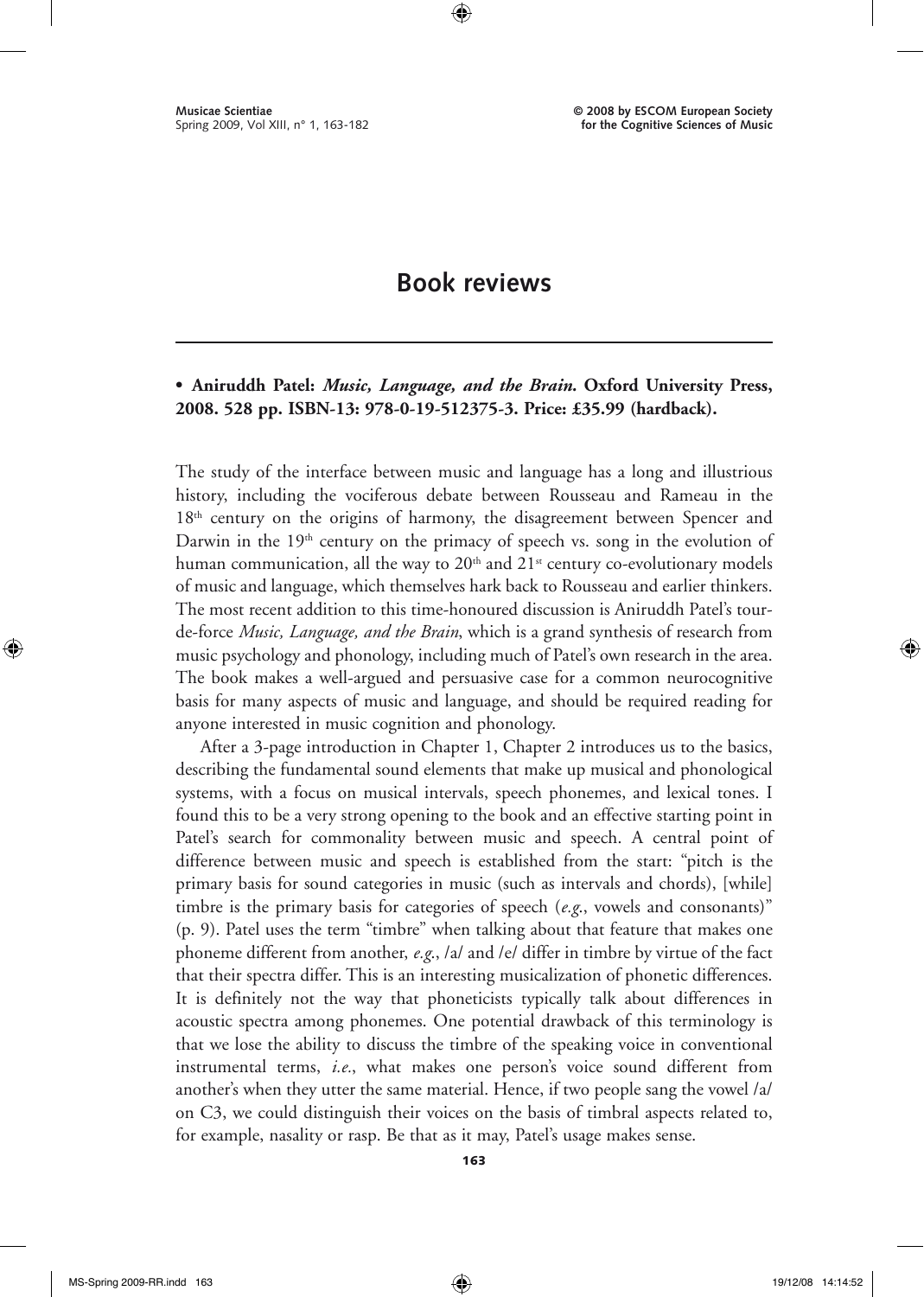**© 2008 by ESCOM European Society for the Cognitive Sciences of Music**

# **Book reviews**

⊕

### **• Aniruddh Patel:** *Music, Language, and the Brain.* **Oxford University Press, 2008. 528 pp. ISBN-13: 978-0-19-512375-3. Price: £35.99 (hardback).**

The study of the interface between music and language has a long and illustrious history, including the vociferous debate between Rousseau and Rameau in the 18<sup>th</sup> century on the origins of harmony, the disagreement between Spencer and Darwin in the 19<sup>th</sup> century on the primacy of speech vs. song in the evolution of human communication, all the way to  $20<sup>th</sup>$  and  $21<sup>st</sup>$  century co-evolutionary models of music and language, which themselves hark back to Rousseau and earlier thinkers. The most recent addition to this time-honoured discussion is Aniruddh Patel's tourde-force *Music, Language, and the Brain*, which is a grand synthesis of research from music psychology and phonology, including much of Patel's own research in the area. The book makes a well-argued and persuasive case for a common neurocognitive basis for many aspects of music and language, and should be required reading for anyone interested in music cognition and phonology.

After a 3-page introduction in Chapter 1, Chapter 2 introduces us to the basics, describing the fundamental sound elements that make up musical and phonological systems, with a focus on musical intervals, speech phonemes, and lexical tones. I found this to be a very strong opening to the book and an effective starting point in Patel's search for commonality between music and speech. A central point of difference between music and speech is established from the start: "pitch is the primary basis for sound categories in music (such as intervals and chords), [while] timbre is the primary basis for categories of speech (*e.g*., vowels and consonants)" (p. 9). Patel uses the term "timbre" when talking about that feature that makes one phoneme different from another, *e.g*., /a/ and /e/ differ in timbre by virtue of the fact that their spectra differ. This is an interesting musicalization of phonetic differences. It is definitely not the way that phoneticists typically talk about differences in acoustic spectra among phonemes. One potential drawback of this terminology is that we lose the ability to discuss the timbre of the speaking voice in conventional instrumental terms, *i.e.*, what makes one person's voice sound different from another's when they utter the same material. Hence, if two people sang the vowel /a/ on C3, we could distinguish their voices on the basis of timbral aspects related to, for example, nasality or rasp. Be that as it may, Patel's usage makes sense.

163

MS-Spring 2009-RR.indd 163 19/12/08 14:14:52

⊕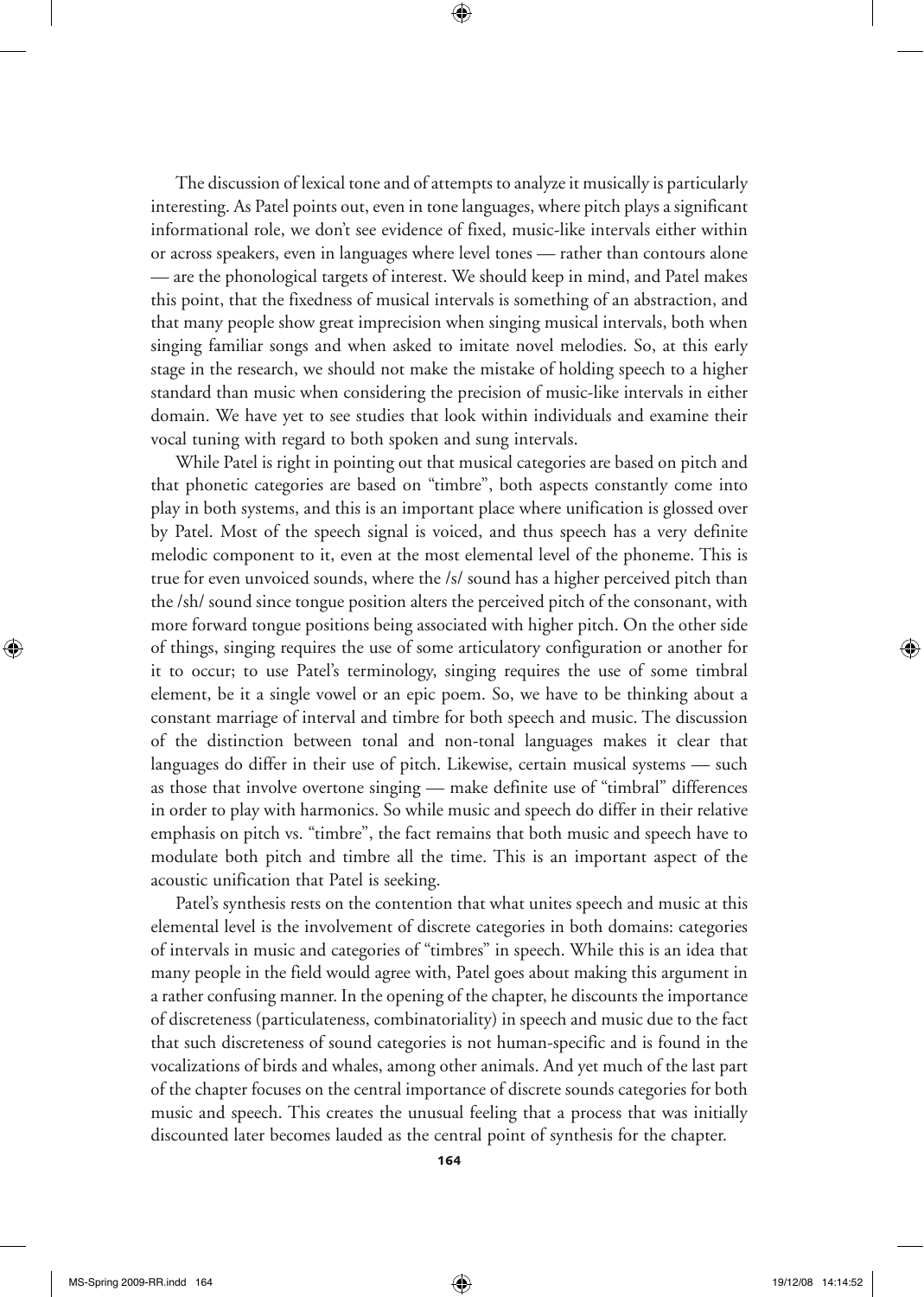The discussion of lexical tone and of attempts to analyze it musically is particularly interesting. As Patel points out, even in tone languages, where pitch plays a significant informational role, we don't see evidence of fixed, music-like intervals either within or across speakers, even in languages where level tones — rather than contours alone — are the phonological targets of interest. We should keep in mind, and Patel makes this point, that the fixedness of musical intervals is something of an abstraction, and that many people show great imprecision when singing musical intervals, both when singing familiar songs and when asked to imitate novel melodies. So, at this early stage in the research, we should not make the mistake of holding speech to a higher standard than music when considering the precision of music-like intervals in either domain. We have yet to see studies that look within individuals and examine their vocal tuning with regard to both spoken and sung intervals.

While Patel is right in pointing out that musical categories are based on pitch and that phonetic categories are based on "timbre", both aspects constantly come into play in both systems, and this is an important place where unification is glossed over by Patel. Most of the speech signal is voiced, and thus speech has a very definite melodic component to it, even at the most elemental level of the phoneme. This is true for even unvoiced sounds, where the /s/ sound has a higher perceived pitch than the /sh/ sound since tongue position alters the perceived pitch of the consonant, with more forward tongue positions being associated with higher pitch. On the other side of things, singing requires the use of some articulatory configuration or another for it to occur; to use Patel's terminology, singing requires the use of some timbral element, be it a single vowel or an epic poem. So, we have to be thinking about a constant marriage of interval and timbre for both speech and music. The discussion of the distinction between tonal and non-tonal languages makes it clear that languages do differ in their use of pitch. Likewise, certain musical systems — such as those that involve overtone singing — make definite use of "timbral" differences in order to play with harmonics. So while music and speech do differ in their relative emphasis on pitch vs. "timbre", the fact remains that both music and speech have to modulate both pitch and timbre all the time. This is an important aspect of the acoustic unification that Patel is seeking.

Patel's synthesis rests on the contention that what unites speech and music at this elemental level is the involvement of discrete categories in both domains: categories of intervals in music and categories of "timbres" in speech. While this is an idea that many people in the field would agree with, Patel goes about making this argument in a rather confusing manner. In the opening of the chapter, he discounts the importance of discreteness (particulateness, combinatoriality) in speech and music due to the fact that such discreteness of sound categories is not human-specific and is found in the vocalizations of birds and whales, among other animals. And yet much of the last part of the chapter focuses on the central importance of discrete sounds categories for both music and speech. This creates the unusual feeling that a process that was initially discounted later becomes lauded as the central point of synthesis for the chapter.

164

⊕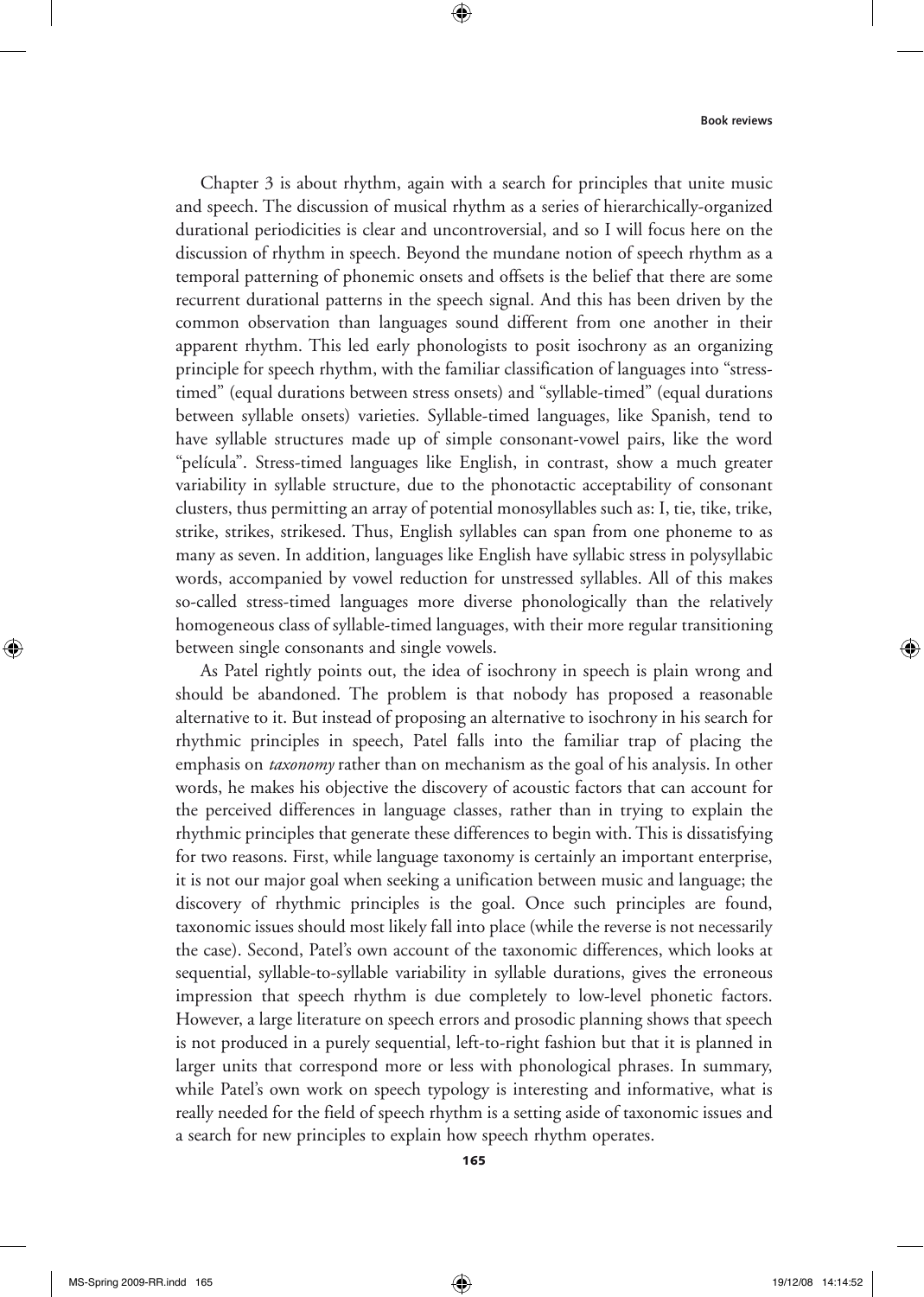Chapter 3 is about rhythm, again with a search for principles that unite music and speech. The discussion of musical rhythm as a series of hierarchically-organized durational periodicities is clear and uncontroversial, and so I will focus here on the discussion of rhythm in speech. Beyond the mundane notion of speech rhythm as a temporal patterning of phonemic onsets and offsets is the belief that there are some recurrent durational patterns in the speech signal. And this has been driven by the common observation than languages sound different from one another in their apparent rhythm. This led early phonologists to posit isochrony as an organizing principle for speech rhythm, with the familiar classification of languages into "stresstimed" (equal durations between stress onsets) and "syllable-timed" (equal durations between syllable onsets) varieties. Syllable-timed languages, like Spanish, tend to have syllable structures made up of simple consonant-vowel pairs, like the word "película". Stress-timed languages like English, in contrast, show a much greater variability in syllable structure, due to the phonotactic acceptability of consonant clusters, thus permitting an array of potential monosyllables such as: I, tie, tike, trike, strike, strikes, strikesed. Thus, English syllables can span from one phoneme to as many as seven. In addition, languages like English have syllabic stress in polysyllabic words, accompanied by vowel reduction for unstressed syllables. All of this makes so-called stress-timed languages more diverse phonologically than the relatively homogeneous class of syllable-timed languages, with their more regular transitioning between single consonants and single vowels.

⊕

As Patel rightly points out, the idea of isochrony in speech is plain wrong and should be abandoned. The problem is that nobody has proposed a reasonable alternative to it. But instead of proposing an alternative to isochrony in his search for rhythmic principles in speech, Patel falls into the familiar trap of placing the emphasis on *taxonomy* rather than on mechanism as the goal of his analysis. In other words, he makes his objective the discovery of acoustic factors that can account for the perceived differences in language classes, rather than in trying to explain the rhythmic principles that generate these differences to begin with. This is dissatisfying for two reasons. First, while language taxonomy is certainly an important enterprise, it is not our major goal when seeking a unification between music and language; the discovery of rhythmic principles is the goal. Once such principles are found, taxonomic issues should most likely fall into place (while the reverse is not necessarily the case). Second, Patel's own account of the taxonomic differences, which looks at sequential, syllable-to-syllable variability in syllable durations, gives the erroneous impression that speech rhythm is due completely to low-level phonetic factors. However, a large literature on speech errors and prosodic planning shows that speech is not produced in a purely sequential, left-to-right fashion but that it is planned in larger units that correspond more or less with phonological phrases. In summary, while Patel's own work on speech typology is interesting and informative, what is really needed for the field of speech rhythm is a setting aside of taxonomic issues and a search for new principles to explain how speech rhythm operates.

165

MS-Spring 2009-RR.indd 165 19/12/08 14:14:52

⊕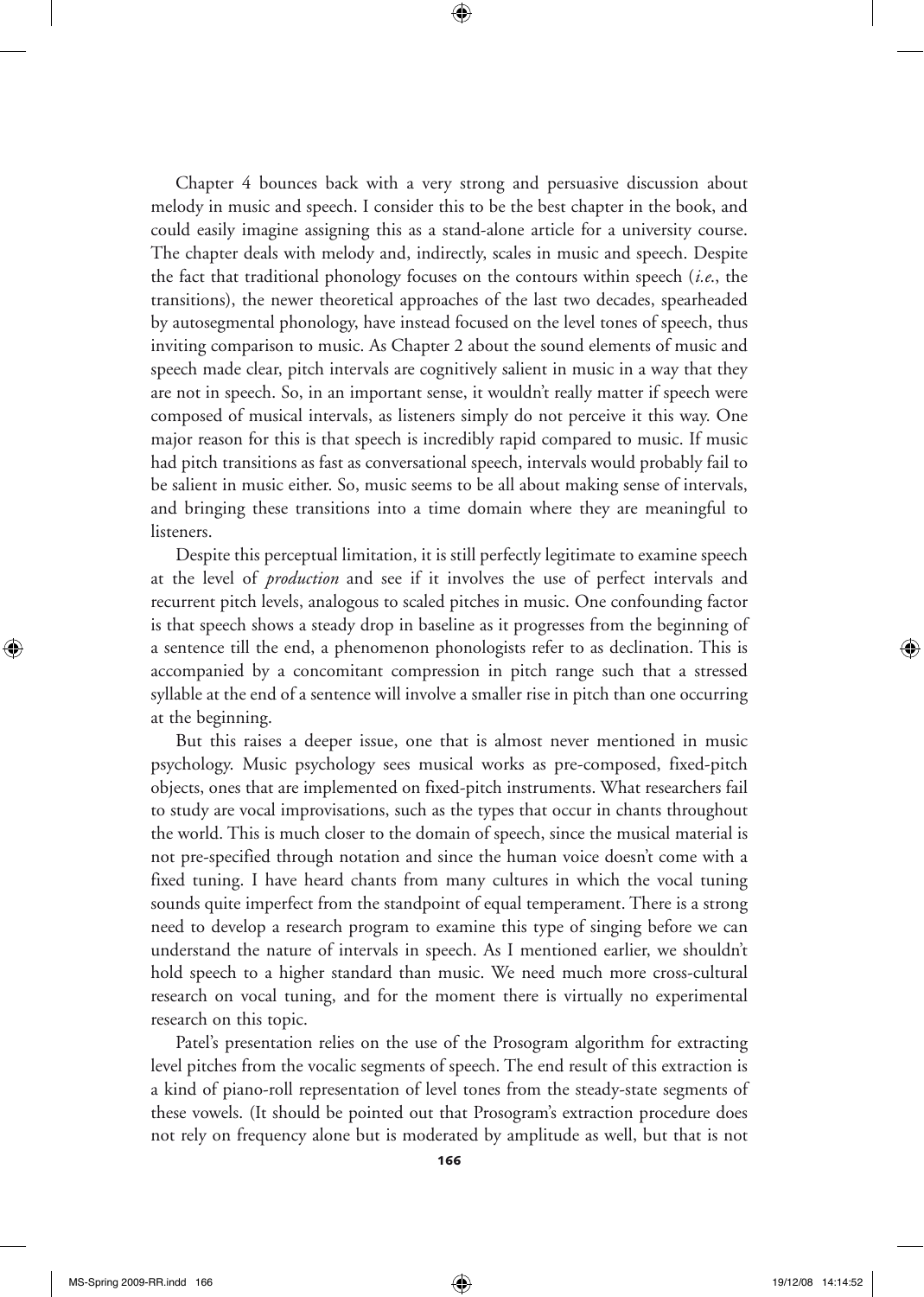Chapter 4 bounces back with a very strong and persuasive discussion about melody in music and speech. I consider this to be the best chapter in the book, and could easily imagine assigning this as a stand-alone article for a university course. The chapter deals with melody and, indirectly, scales in music and speech. Despite the fact that traditional phonology focuses on the contours within speech (*i.e*., the transitions), the newer theoretical approaches of the last two decades, spearheaded by autosegmental phonology, have instead focused on the level tones of speech, thus inviting comparison to music. As Chapter 2 about the sound elements of music and speech made clear, pitch intervals are cognitively salient in music in a way that they are not in speech. So, in an important sense, it wouldn't really matter if speech were composed of musical intervals, as listeners simply do not perceive it this way. One major reason for this is that speech is incredibly rapid compared to music. If music had pitch transitions as fast as conversational speech, intervals would probably fail to be salient in music either. So, music seems to be all about making sense of intervals, and bringing these transitions into a time domain where they are meaningful to listeners.

Despite this perceptual limitation, it is still perfectly legitimate to examine speech at the level of *production* and see if it involves the use of perfect intervals and recurrent pitch levels, analogous to scaled pitches in music. One confounding factor is that speech shows a steady drop in baseline as it progresses from the beginning of a sentence till the end, a phenomenon phonologists refer to as declination. This is accompanied by a concomitant compression in pitch range such that a stressed syllable at the end of a sentence will involve a smaller rise in pitch than one occurring at the beginning.

But this raises a deeper issue, one that is almost never mentioned in music psychology. Music psychology sees musical works as pre-composed, fixed-pitch objects, ones that are implemented on fixed-pitch instruments. What researchers fail to study are vocal improvisations, such as the types that occur in chants throughout the world. This is much closer to the domain of speech, since the musical material is not pre-specified through notation and since the human voice doesn't come with a fixed tuning. I have heard chants from many cultures in which the vocal tuning sounds quite imperfect from the standpoint of equal temperament. There is a strong need to develop a research program to examine this type of singing before we can understand the nature of intervals in speech. As I mentioned earlier, we shouldn't hold speech to a higher standard than music. We need much more cross-cultural research on vocal tuning, and for the moment there is virtually no experimental research on this topic.

Patel's presentation relies on the use of the Prosogram algorithm for extracting level pitches from the vocalic segments of speech. The end result of this extraction is a kind of piano-roll representation of level tones from the steady-state segments of these vowels. (It should be pointed out that Prosogram's extraction procedure does not rely on frequency alone but is moderated by amplitude as well, but that is not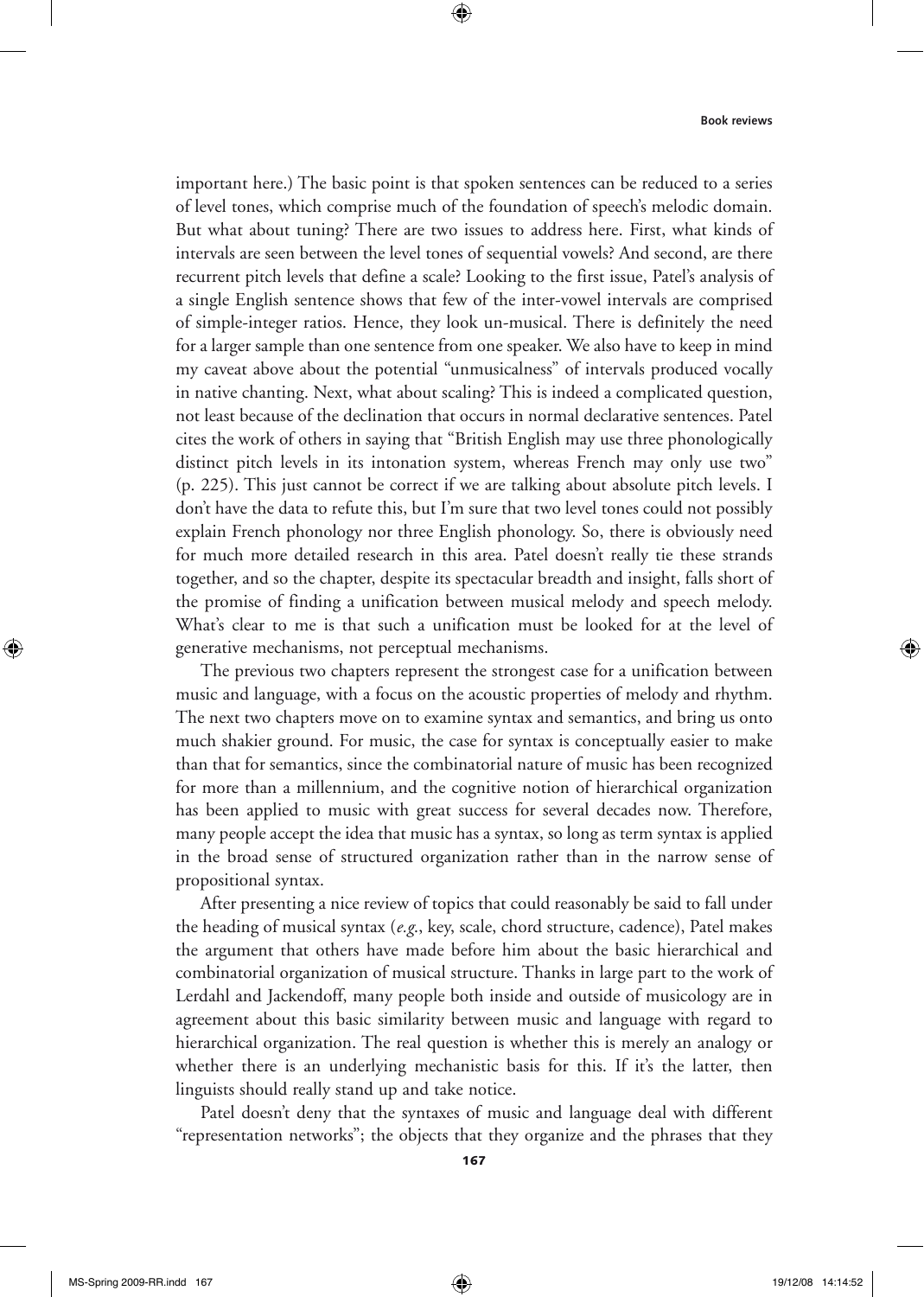important here.) The basic point is that spoken sentences can be reduced to a series of level tones, which comprise much of the foundation of speech's melodic domain. But what about tuning? There are two issues to address here. First, what kinds of intervals are seen between the level tones of sequential vowels? And second, are there recurrent pitch levels that define a scale? Looking to the first issue, Patel's analysis of a single English sentence shows that few of the inter-vowel intervals are comprised of simple-integer ratios. Hence, they look un-musical. There is definitely the need for a larger sample than one sentence from one speaker. We also have to keep in mind my caveat above about the potential "unmusicalness" of intervals produced vocally in native chanting. Next, what about scaling? This is indeed a complicated question, not least because of the declination that occurs in normal declarative sentences. Patel cites the work of others in saying that "British English may use three phonologically distinct pitch levels in its intonation system, whereas French may only use two" (p. 225). This just cannot be correct if we are talking about absolute pitch levels. I don't have the data to refute this, but I'm sure that two level tones could not possibly explain French phonology nor three English phonology. So, there is obviously need for much more detailed research in this area. Patel doesn't really tie these strands together, and so the chapter, despite its spectacular breadth and insight, falls short of the promise of finding a unification between musical melody and speech melody. What's clear to me is that such a unification must be looked for at the level of generative mechanisms, not perceptual mechanisms.

⊕

The previous two chapters represent the strongest case for a unification between music and language, with a focus on the acoustic properties of melody and rhythm. The next two chapters move on to examine syntax and semantics, and bring us onto much shakier ground. For music, the case for syntax is conceptually easier to make than that for semantics, since the combinatorial nature of music has been recognized for more than a millennium, and the cognitive notion of hierarchical organization has been applied to music with great success for several decades now. Therefore, many people accept the idea that music has a syntax, so long as term syntax is applied in the broad sense of structured organization rather than in the narrow sense of propositional syntax.

After presenting a nice review of topics that could reasonably be said to fall under the heading of musical syntax (*e.g*., key, scale, chord structure, cadence), Patel makes the argument that others have made before him about the basic hierarchical and combinatorial organization of musical structure. Thanks in large part to the work of Lerdahl and Jackendoff, many people both inside and outside of musicology are in agreement about this basic similarity between music and language with regard to hierarchical organization. The real question is whether this is merely an analogy or whether there is an underlying mechanistic basis for this. If it's the latter, then linguists should really stand up and take notice.

Patel doesn't deny that the syntaxes of music and language deal with different "representation networks"; the objects that they organize and the phrases that they

167

⊕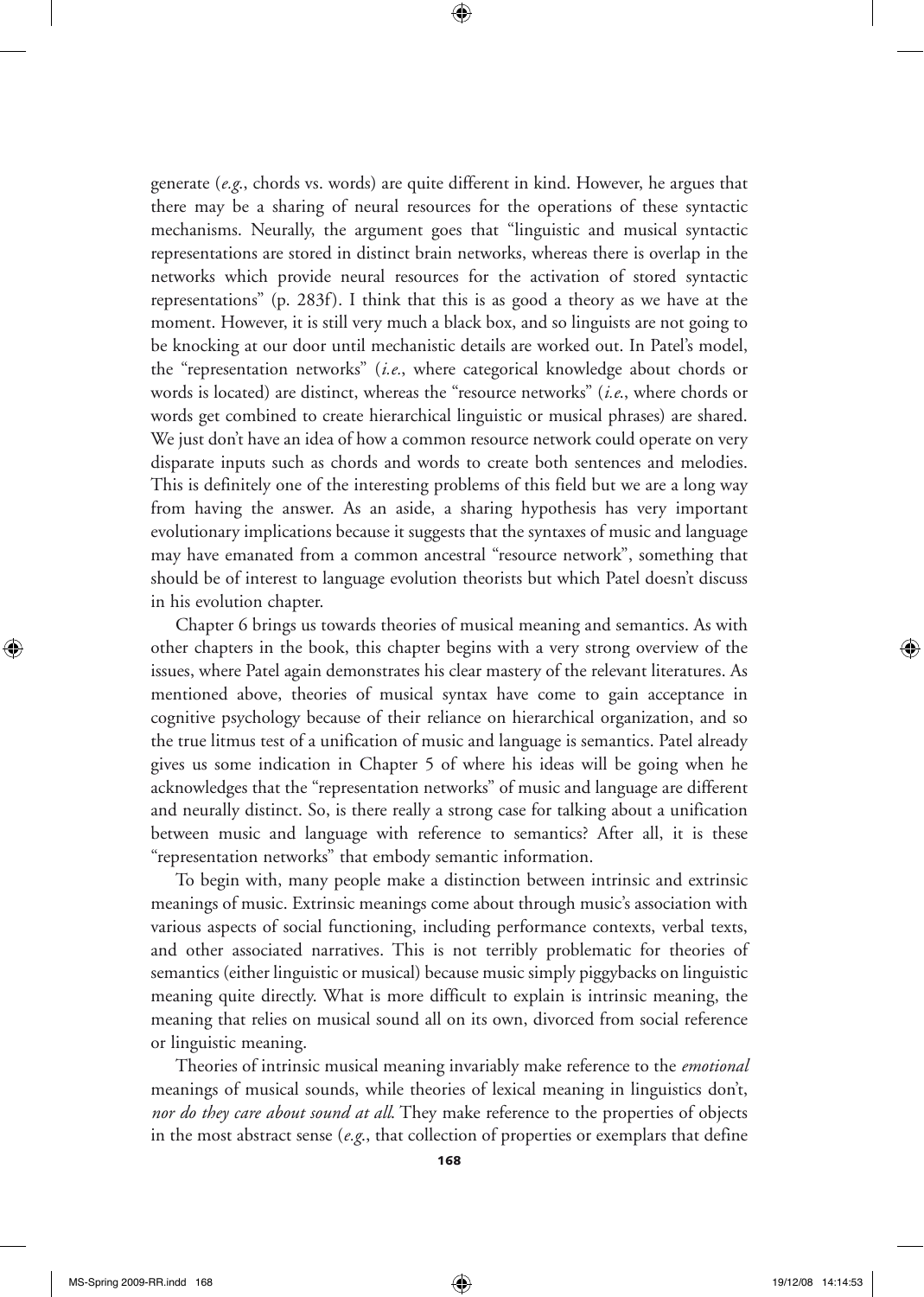generate (*e.g*., chords vs. words) are quite different in kind. However, he argues that there may be a sharing of neural resources for the operations of these syntactic mechanisms. Neurally, the argument goes that "linguistic and musical syntactic representations are stored in distinct brain networks, whereas there is overlap in the networks which provide neural resources for the activation of stored syntactic representations" (p. 283f). I think that this is as good a theory as we have at the moment. However, it is still very much a black box, and so linguists are not going to be knocking at our door until mechanistic details are worked out. In Patel's model, the "representation networks" (*i.e.*, where categorical knowledge about chords or words is located) are distinct, whereas the "resource networks" (*i.e*., where chords or words get combined to create hierarchical linguistic or musical phrases) are shared. We just don't have an idea of how a common resource network could operate on very disparate inputs such as chords and words to create both sentences and melodies. This is definitely one of the interesting problems of this field but we are a long way from having the answer. As an aside, a sharing hypothesis has very important evolutionary implications because it suggests that the syntaxes of music and language may have emanated from a common ancestral "resource network", something that should be of interest to language evolution theorists but which Patel doesn't discuss in his evolution chapter.

Chapter 6 brings us towards theories of musical meaning and semantics. As with other chapters in the book, this chapter begins with a very strong overview of the issues, where Patel again demonstrates his clear mastery of the relevant literatures. As mentioned above, theories of musical syntax have come to gain acceptance in cognitive psychology because of their reliance on hierarchical organization, and so the true litmus test of a unification of music and language is semantics. Patel already gives us some indication in Chapter 5 of where his ideas will be going when he acknowledges that the "representation networks" of music and language are different and neurally distinct. So, is there really a strong case for talking about a unification between music and language with reference to semantics? After all, it is these "representation networks" that embody semantic information.

To begin with, many people make a distinction between intrinsic and extrinsic meanings of music. Extrinsic meanings come about through music's association with various aspects of social functioning, including performance contexts, verbal texts, and other associated narratives. This is not terribly problematic for theories of semantics (either linguistic or musical) because music simply piggybacks on linguistic meaning quite directly. What is more difficult to explain is intrinsic meaning, the meaning that relies on musical sound all on its own, divorced from social reference or linguistic meaning.

Theories of intrinsic musical meaning invariably make reference to the *emotional* meanings of musical sounds, while theories of lexical meaning in linguistics don't, *nor do they care about sound at all*. They make reference to the properties of objects in the most abstract sense (*e.g*., that collection of properties or exemplars that define

⊕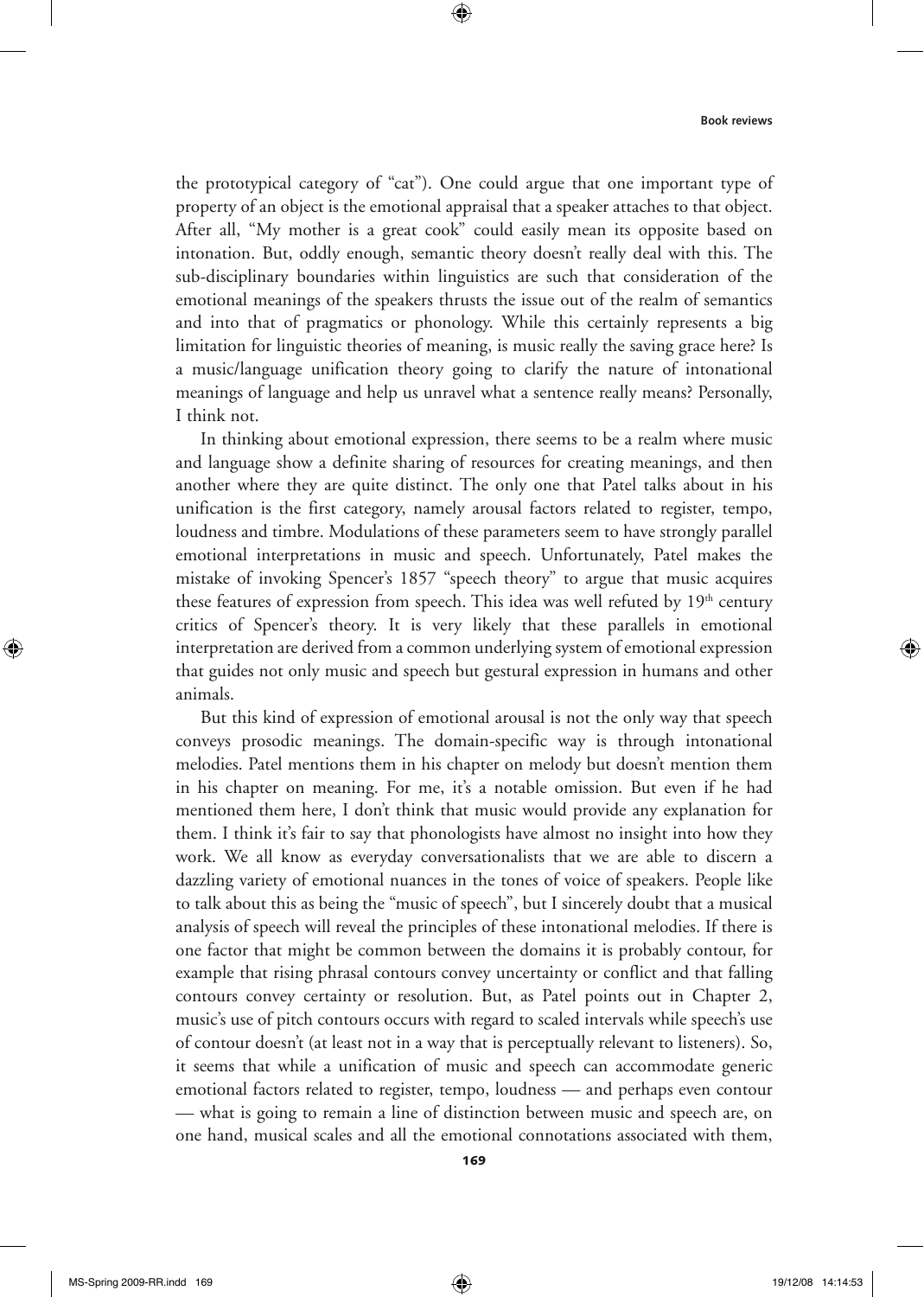the prototypical category of "cat"). One could argue that one important type of property of an object is the emotional appraisal that a speaker attaches to that object. After all, "My mother is a great cook" could easily mean its opposite based on intonation. But, oddly enough, semantic theory doesn't really deal with this. The sub-disciplinary boundaries within linguistics are such that consideration of the emotional meanings of the speakers thrusts the issue out of the realm of semantics and into that of pragmatics or phonology. While this certainly represents a big limitation for linguistic theories of meaning, is music really the saving grace here? Is a music/language unification theory going to clarify the nature of intonational meanings of language and help us unravel what a sentence really means? Personally, I think not.

⊕

In thinking about emotional expression, there seems to be a realm where music and language show a definite sharing of resources for creating meanings, and then another where they are quite distinct. The only one that Patel talks about in his unification is the first category, namely arousal factors related to register, tempo, loudness and timbre. Modulations of these parameters seem to have strongly parallel emotional interpretations in music and speech. Unfortunately, Patel makes the mistake of invoking Spencer's 1857 "speech theory" to argue that music acquires these features of expression from speech. This idea was well refuted by 19<sup>th</sup> century critics of Spencer's theory. It is very likely that these parallels in emotional interpretation are derived from a common underlying system of emotional expression that guides not only music and speech but gestural expression in humans and other animals.

But this kind of expression of emotional arousal is not the only way that speech conveys prosodic meanings. The domain-specific way is through intonational melodies. Patel mentions them in his chapter on melody but doesn't mention them in his chapter on meaning. For me, it's a notable omission. But even if he had mentioned them here, I don't think that music would provide any explanation for them. I think it's fair to say that phonologists have almost no insight into how they work. We all know as everyday conversationalists that we are able to discern a dazzling variety of emotional nuances in the tones of voice of speakers. People like to talk about this as being the "music of speech", but I sincerely doubt that a musical analysis of speech will reveal the principles of these intonational melodies. If there is one factor that might be common between the domains it is probably contour, for example that rising phrasal contours convey uncertainty or conflict and that falling contours convey certainty or resolution. But, as Patel points out in Chapter 2, music's use of pitch contours occurs with regard to scaled intervals while speech's use of contour doesn't (at least not in a way that is perceptually relevant to listeners). So, it seems that while a unification of music and speech can accommodate generic emotional factors related to register, tempo, loudness — and perhaps even contour — what is going to remain a line of distinction between music and speech are, on one hand, musical scales and all the emotional connotations associated with them,

169

MS-Spring 2009-RR.indd 169 **19/12/08** 14:14:53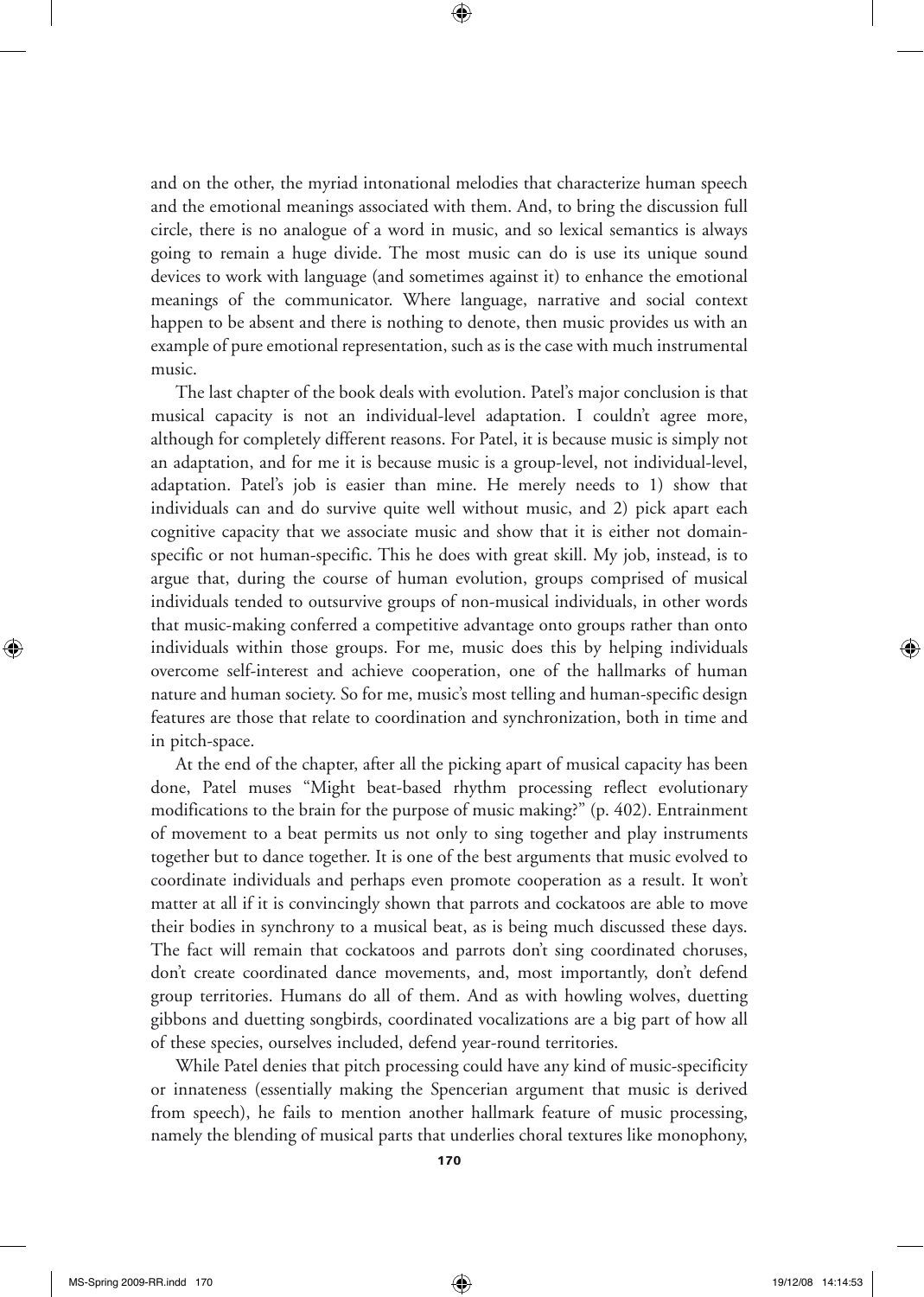and on the other, the myriad intonational melodies that characterize human speech and the emotional meanings associated with them. And, to bring the discussion full circle, there is no analogue of a word in music, and so lexical semantics is always going to remain a huge divide. The most music can do is use its unique sound devices to work with language (and sometimes against it) to enhance the emotional meanings of the communicator. Where language, narrative and social context happen to be absent and there is nothing to denote, then music provides us with an example of pure emotional representation, such as is the case with much instrumental music.

The last chapter of the book deals with evolution. Patel's major conclusion is that musical capacity is not an individual-level adaptation. I couldn't agree more, although for completely different reasons. For Patel, it is because music is simply not an adaptation, and for me it is because music is a group-level, not individual-level, adaptation. Patel's job is easier than mine. He merely needs to 1) show that individuals can and do survive quite well without music, and 2) pick apart each cognitive capacity that we associate music and show that it is either not domainspecific or not human-specific. This he does with great skill. My job, instead, is to argue that, during the course of human evolution, groups comprised of musical individuals tended to outsurvive groups of non-musical individuals, in other words that music-making conferred a competitive advantage onto groups rather than onto individuals within those groups. For me, music does this by helping individuals overcome self-interest and achieve cooperation, one of the hallmarks of human nature and human society. So for me, music's most telling and human-specific design features are those that relate to coordination and synchronization, both in time and in pitch-space.

At the end of the chapter, after all the picking apart of musical capacity has been done, Patel muses "Might beat-based rhythm processing reflect evolutionary modifications to the brain for the purpose of music making?" (p. 402). Entrainment of movement to a beat permits us not only to sing together and play instruments together but to dance together. It is one of the best arguments that music evolved to coordinate individuals and perhaps even promote cooperation as a result. It won't matter at all if it is convincingly shown that parrots and cockatoos are able to move their bodies in synchrony to a musical beat, as is being much discussed these days. The fact will remain that cockatoos and parrots don't sing coordinated choruses, don't create coordinated dance movements, and, most importantly, don't defend group territories. Humans do all of them. And as with howling wolves, duetting gibbons and duetting songbirds, coordinated vocalizations are a big part of how all of these species, ourselves included, defend year-round territories.

While Patel denies that pitch processing could have any kind of music-specificity or innateness (essentially making the Spencerian argument that music is derived from speech), he fails to mention another hallmark feature of music processing, namely the blending of musical parts that underlies choral textures like monophony,

⊕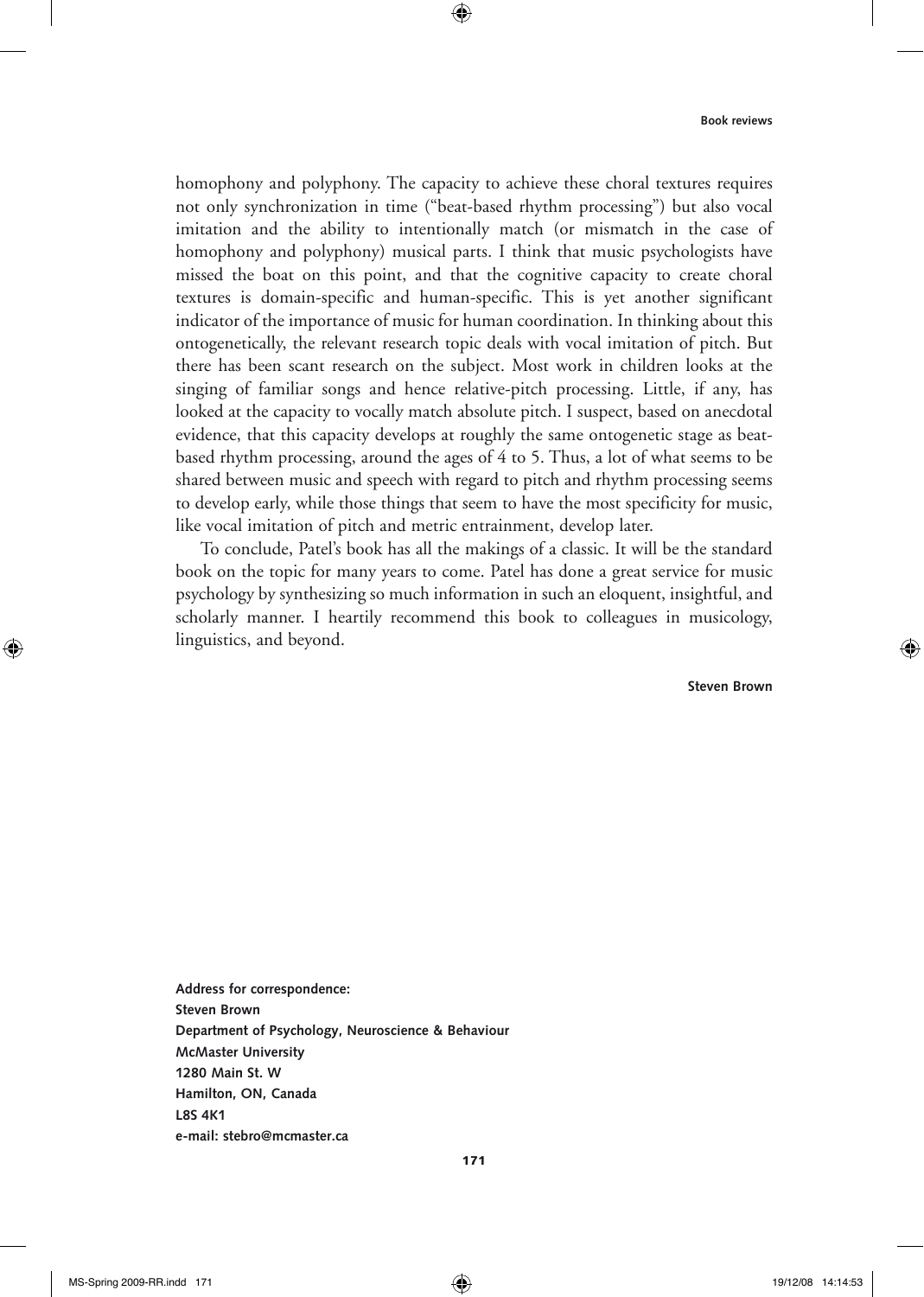homophony and polyphony. The capacity to achieve these choral textures requires not only synchronization in time ("beat-based rhythm processing") but also vocal imitation and the ability to intentionally match (or mismatch in the case of homophony and polyphony) musical parts. I think that music psychologists have missed the boat on this point, and that the cognitive capacity to create choral textures is domain-specific and human-specific. This is yet another significant indicator of the importance of music for human coordination. In thinking about this ontogenetically, the relevant research topic deals with vocal imitation of pitch. But there has been scant research on the subject. Most work in children looks at the singing of familiar songs and hence relative-pitch processing. Little, if any, has looked at the capacity to vocally match absolute pitch. I suspect, based on anecdotal evidence, that this capacity develops at roughly the same ontogenetic stage as beatbased rhythm processing, around the ages of 4 to 5. Thus, a lot of what seems to be shared between music and speech with regard to pitch and rhythm processing seems to develop early, while those things that seem to have the most specificity for music, like vocal imitation of pitch and metric entrainment, develop later.

⊕

To conclude, Patel's book has all the makings of a classic. It will be the standard book on the topic for many years to come. Patel has done a great service for music psychology by synthesizing so much information in such an eloquent, insightful, and scholarly manner. I heartily recommend this book to colleagues in musicology, linguistics, and beyond.

**Steven Brown**

⊕

**Address for correspondence: Steven Brown Department of Psychology, Neuroscience & Behaviour McMaster University 1280 Main St. W Hamilton, ON, Canada L8S 4K1 e-mail: stebro@mcmaster.ca**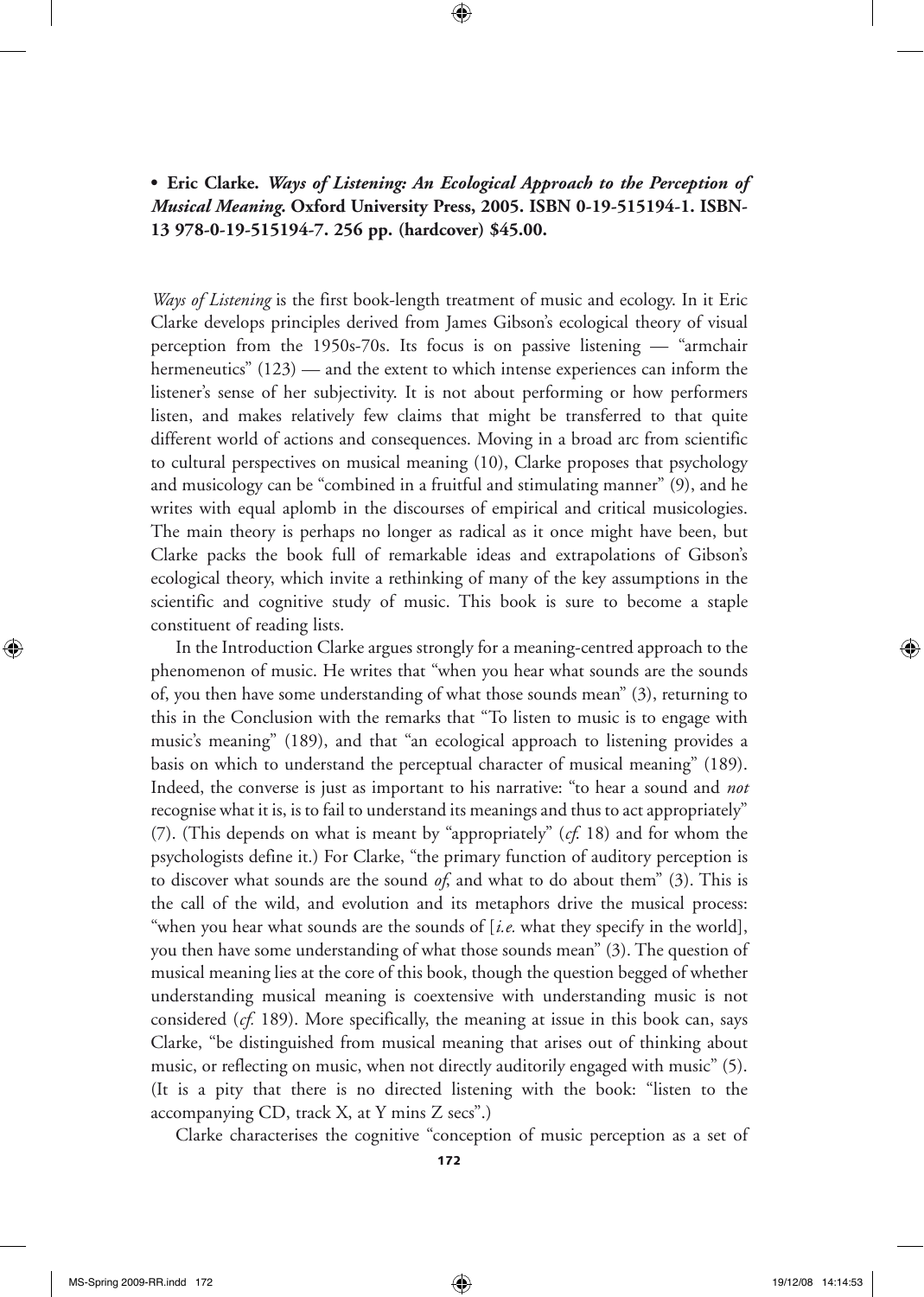## **• Eric Clarke.** *Ways of Listening: An Ecological Approach to the Perception of Musical Meaning.* **Oxford University Press, 2005. ISBN 0-19-515194-1. ISBN-13 978-0-19-515194-7. 256 pp. (hardcover) \$45.00.**

⊕

*Ways of Listening* is the first book-length treatment of music and ecology. In it Eric Clarke develops principles derived from James Gibson's ecological theory of visual perception from the 1950s-70s. Its focus is on passive listening — "armchair hermeneutics" (123) — and the extent to which intense experiences can inform the listener's sense of her subjectivity. It is not about performing or how performers listen, and makes relatively few claims that might be transferred to that quite different world of actions and consequences. Moving in a broad arc from scientific to cultural perspectives on musical meaning (10), Clarke proposes that psychology and musicology can be "combined in a fruitful and stimulating manner" (9), and he writes with equal aplomb in the discourses of empirical and critical musicologies. The main theory is perhaps no longer as radical as it once might have been, but Clarke packs the book full of remarkable ideas and extrapolations of Gibson's ecological theory, which invite a rethinking of many of the key assumptions in the scientific and cognitive study of music. This book is sure to become a staple constituent of reading lists.

In the Introduction Clarke argues strongly for a meaning-centred approach to the phenomenon of music. He writes that "when you hear what sounds are the sounds of, you then have some understanding of what those sounds mean" (3), returning to this in the Conclusion with the remarks that "To listen to music is to engage with music's meaning" (189), and that "an ecological approach to listening provides a basis on which to understand the perceptual character of musical meaning" (189). Indeed, the converse is just as important to his narrative: "to hear a sound and *not* recognise what it is, is to fail to understand its meanings and thus to act appropriately" (7). (This depends on what is meant by "appropriately" (*cf*. 18) and for whom the psychologists define it.) For Clarke, "the primary function of auditory perception is to discover what sounds are the sound *of*, and what to do about them" (3). This is the call of the wild, and evolution and its metaphors drive the musical process: "when you hear what sounds are the sounds of [*i.e.* what they specify in the world], you then have some understanding of what those sounds mean" (3). The question of musical meaning lies at the core of this book, though the question begged of whether understanding musical meaning is coextensive with understanding music is not considered (*cf.* 189). More specifically, the meaning at issue in this book can, says Clarke, "be distinguished from musical meaning that arises out of thinking about music, or reflecting on music, when not directly auditorily engaged with music" (5). (It is a pity that there is no directed listening with the book: "listen to the accompanying CD, track X, at Y mins Z secs".)

Clarke characterises the cognitive "conception of music perception as a set of

172

⊕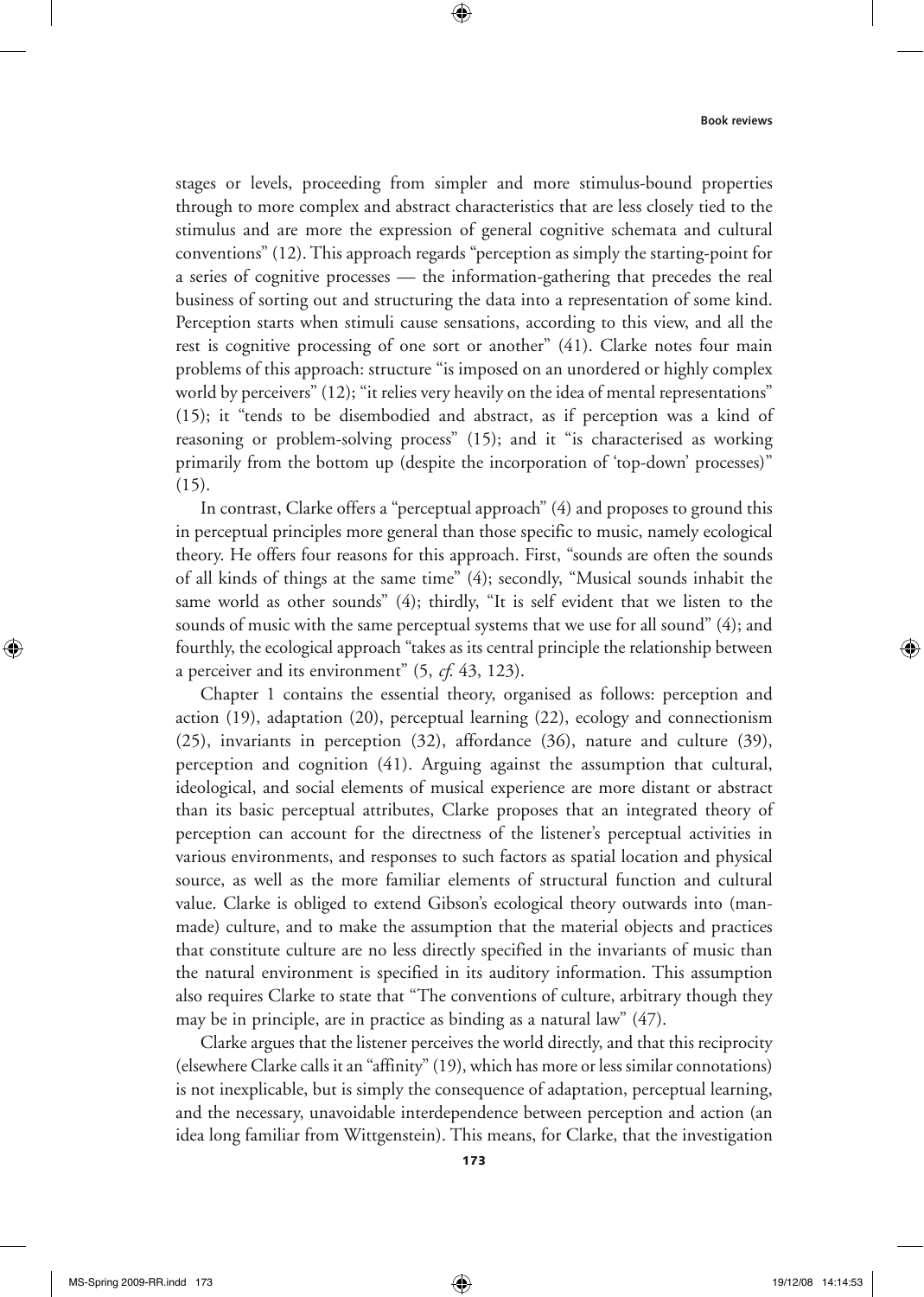stages or levels, proceeding from simpler and more stimulus-bound properties through to more complex and abstract characteristics that are less closely tied to the stimulus and are more the expression of general cognitive schemata and cultural conventions" (12). This approach regards "perception as simply the starting-point for a series of cognitive processes — the information-gathering that precedes the real business of sorting out and structuring the data into a representation of some kind. Perception starts when stimuli cause sensations, according to this view, and all the rest is cognitive processing of one sort or another" (41). Clarke notes four main problems of this approach: structure "is imposed on an unordered or highly complex world by perceivers" (12); "it relies very heavily on the idea of mental representations" (15); it "tends to be disembodied and abstract, as if perception was a kind of reasoning or problem-solving process" (15); and it "is characterised as working primarily from the bottom up (despite the incorporation of 'top-down' processes)"  $(15).$ 

⊕

In contrast, Clarke offers a "perceptual approach" (4) and proposes to ground this in perceptual principles more general than those specific to music, namely ecological theory. He offers four reasons for this approach. First, "sounds are often the sounds of all kinds of things at the same time" (4); secondly, "Musical sounds inhabit the same world as other sounds" (4); thirdly, "It is self evident that we listen to the sounds of music with the same perceptual systems that we use for all sound" (4); and fourthly, the ecological approach "takes as its central principle the relationship between a perceiver and its environment" (5, *cf*. 43, 123).

Chapter 1 contains the essential theory, organised as follows: perception and action (19), adaptation (20), perceptual learning (22), ecology and connectionism (25), invariants in perception (32), affordance (36), nature and culture (39), perception and cognition (41). Arguing against the assumption that cultural, ideological, and social elements of musical experience are more distant or abstract than its basic perceptual attributes, Clarke proposes that an integrated theory of perception can account for the directness of the listener's perceptual activities in various environments, and responses to such factors as spatial location and physical source, as well as the more familiar elements of structural function and cultural value. Clarke is obliged to extend Gibson's ecological theory outwards into (manmade) culture, and to make the assumption that the material objects and practices that constitute culture are no less directly specified in the invariants of music than the natural environment is specified in its auditory information. This assumption also requires Clarke to state that "The conventions of culture, arbitrary though they may be in principle, are in practice as binding as a natural law" (47).

Clarke argues that the listener perceives the world directly, and that this reciprocity (elsewhere Clarke calls it an "affinity" (19), which has more or less similar connotations) is not inexplicable, but is simply the consequence of adaptation, perceptual learning, and the necessary, unavoidable interdependence between perception and action (an idea long familiar from Wittgenstein). This means, for Clarke, that the investigation

173

MS-Spring 2009-RR.indd 173 **19/12/08** 14:14:53

⊕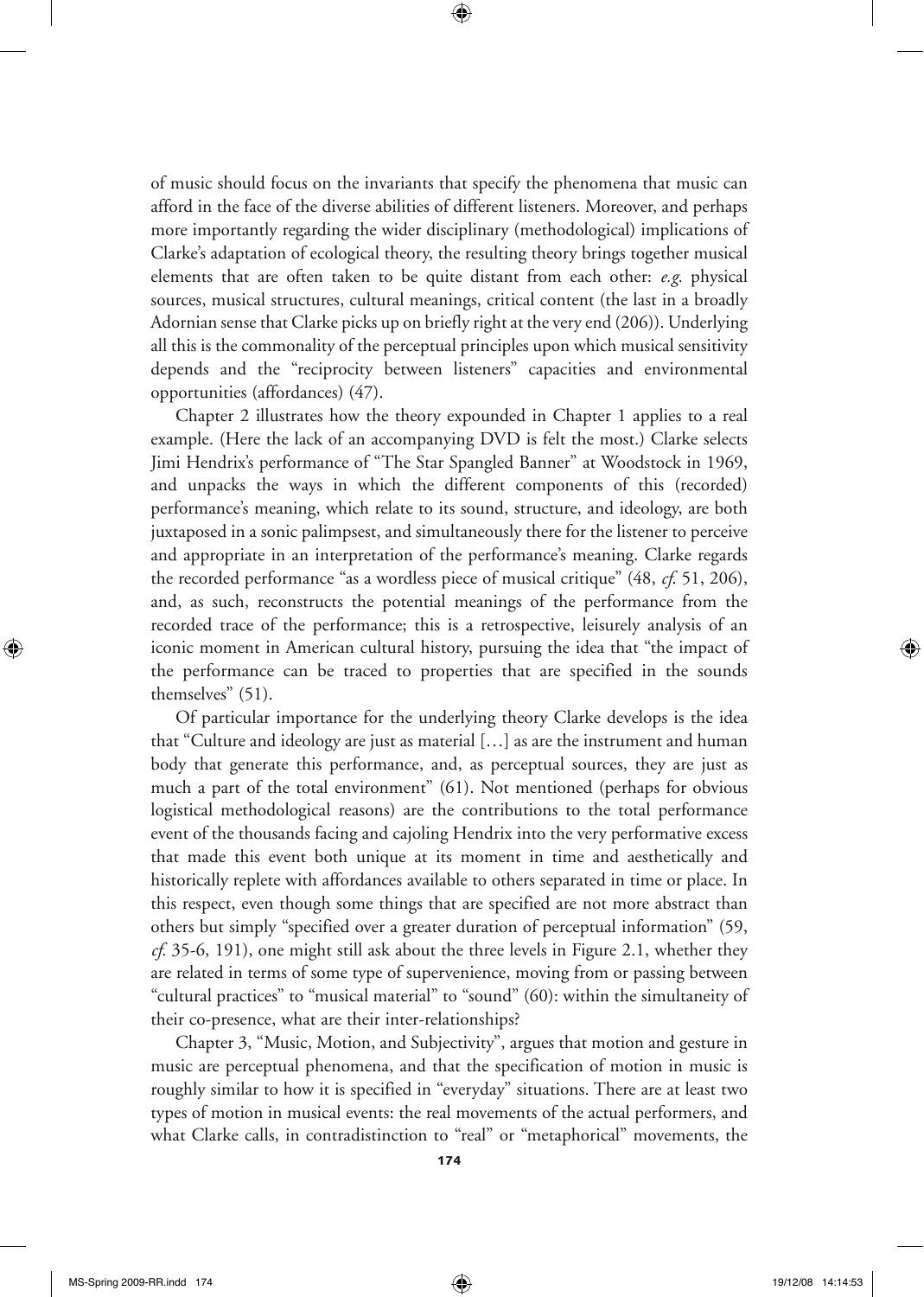of music should focus on the invariants that specify the phenomena that music can afford in the face of the diverse abilities of different listeners. Moreover, and perhaps more importantly regarding the wider disciplinary (methodological) implications of Clarke's adaptation of ecological theory, the resulting theory brings together musical elements that are often taken to be quite distant from each other: *e.g.* physical sources, musical structures, cultural meanings, critical content (the last in a broadly Adornian sense that Clarke picks up on briefly right at the very end (206)). Underlying all this is the commonality of the perceptual principles upon which musical sensitivity depends and the "reciprocity between listeners" capacities and environmental opportunities (affordances) (47).

⊕

Chapter 2 illustrates how the theory expounded in Chapter 1 applies to a real example. (Here the lack of an accompanying DVD is felt the most.) Clarke selects Jimi Hendrix's performance of "The Star Spangled Banner" at Woodstock in 1969, and unpacks the ways in which the different components of this (recorded) performance's meaning, which relate to its sound, structure, and ideology, are both juxtaposed in a sonic palimpsest, and simultaneously there for the listener to perceive and appropriate in an interpretation of the performance's meaning. Clarke regards the recorded performance "as a wordless piece of musical critique" (48, *cf*. 51, 206), and, as such, reconstructs the potential meanings of the performance from the recorded trace of the performance; this is a retrospective, leisurely analysis of an iconic moment in American cultural history, pursuing the idea that "the impact of the performance can be traced to properties that are specified in the sounds themselves" (51).

Of particular importance for the underlying theory Clarke develops is the idea that "Culture and ideology are just as material […] as are the instrument and human body that generate this performance, and, as perceptual sources, they are just as much a part of the total environment" (61). Not mentioned (perhaps for obvious logistical methodological reasons) are the contributions to the total performance event of the thousands facing and cajoling Hendrix into the very performative excess that made this event both unique at its moment in time and aesthetically and historically replete with affordances available to others separated in time or place. In this respect, even though some things that are specified are not more abstract than others but simply "specified over a greater duration of perceptual information" (59, *cf.* 35-6, 191), one might still ask about the three levels in Figure 2.1, whether they are related in terms of some type of supervenience, moving from or passing between "cultural practices" to "musical material" to "sound" (60): within the simultaneity of their co-presence, what are their inter-relationships?

Chapter 3, "Music, Motion, and Subjectivity", argues that motion and gesture in music are perceptual phenomena, and that the specification of motion in music is roughly similar to how it is specified in "everyday" situations. There are at least two types of motion in musical events: the real movements of the actual performers, and what Clarke calls, in contradistinction to "real" or "metaphorical" movements, the

174

MS-Spring 2009-RR.indd 174 19/12/08 14:14:53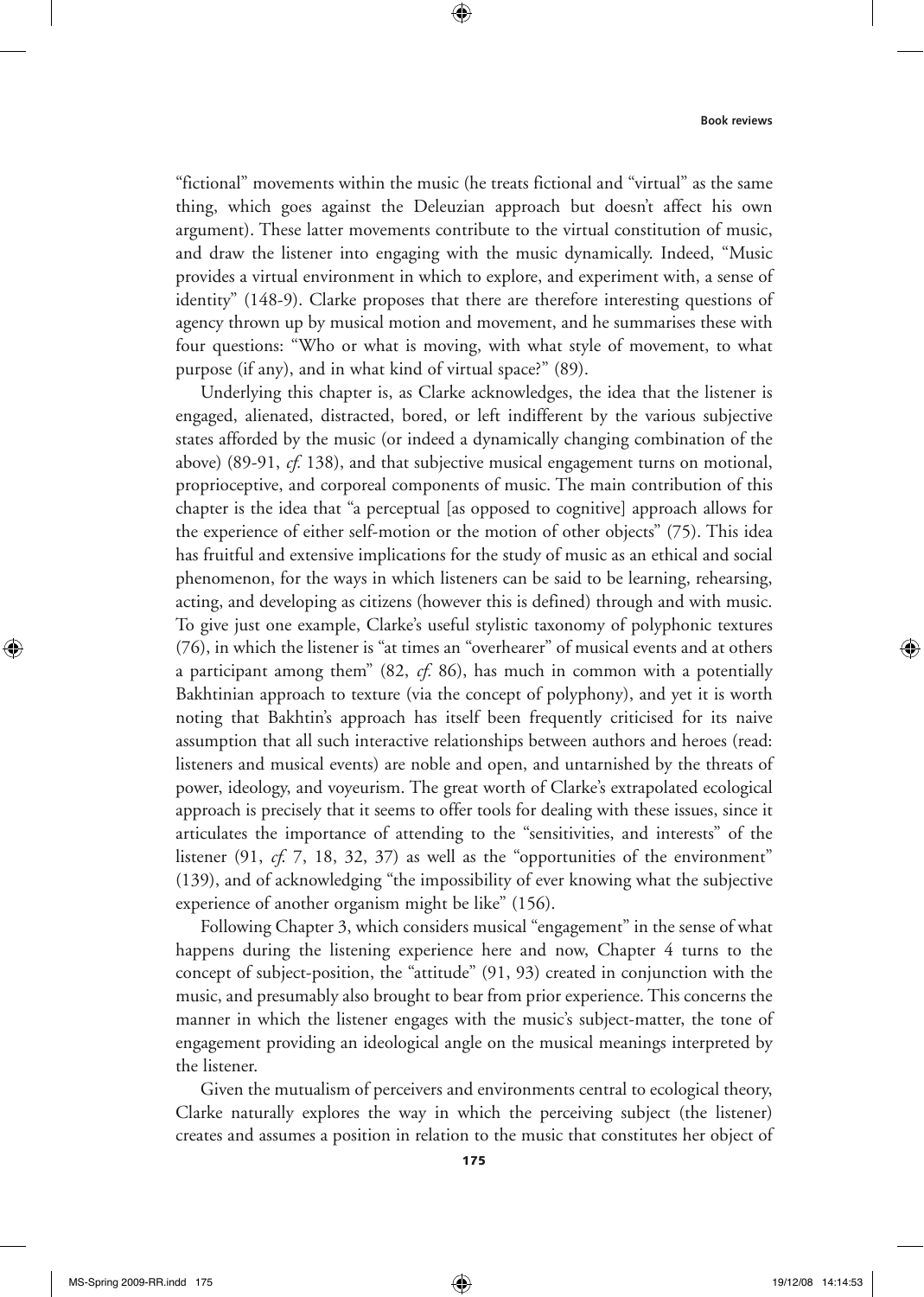"fictional" movements within the music (he treats fictional and "virtual" as the same thing, which goes against the Deleuzian approach but doesn't affect his own argument). These latter movements contribute to the virtual constitution of music, and draw the listener into engaging with the music dynamically. Indeed, "Music provides a virtual environment in which to explore, and experiment with, a sense of identity" (148-9). Clarke proposes that there are therefore interesting questions of agency thrown up by musical motion and movement, and he summarises these with four questions: "Who or what is moving, with what style of movement, to what purpose (if any), and in what kind of virtual space?" (89).

⊕

Underlying this chapter is, as Clarke acknowledges, the idea that the listener is engaged, alienated, distracted, bored, or left indifferent by the various subjective states afforded by the music (or indeed a dynamically changing combination of the above) (89-91, *cf.* 138), and that subjective musical engagement turns on motional, proprioceptive, and corporeal components of music. The main contribution of this chapter is the idea that "a perceptual [as opposed to cognitive] approach allows for the experience of either self-motion or the motion of other objects" (75). This idea has fruitful and extensive implications for the study of music as an ethical and social phenomenon, for the ways in which listeners can be said to be learning, rehearsing, acting, and developing as citizens (however this is defined) through and with music. To give just one example, Clarke's useful stylistic taxonomy of polyphonic textures (76), in which the listener is "at times an "overhearer" of musical events and at others a participant among them" (82, *cf.* 86), has much in common with a potentially Bakhtinian approach to texture (via the concept of polyphony), and yet it is worth noting that Bakhtin's approach has itself been frequently criticised for its naive assumption that all such interactive relationships between authors and heroes (read: listeners and musical events) are noble and open, and untarnished by the threats of power, ideology, and voyeurism. The great worth of Clarke's extrapolated ecological approach is precisely that it seems to offer tools for dealing with these issues, since it articulates the importance of attending to the "sensitivities, and interests" of the listener (91, *cf*. 7, 18, 32, 37) as well as the "opportunities of the environment" (139), and of acknowledging "the impossibility of ever knowing what the subjective experience of another organism might be like" (156).

Following Chapter 3, which considers musical "engagement" in the sense of what happens during the listening experience here and now, Chapter 4 turns to the concept of subject-position, the "attitude" (91, 93) created in conjunction with the music, and presumably also brought to bear from prior experience. This concerns the manner in which the listener engages with the music's subject-matter, the tone of engagement providing an ideological angle on the musical meanings interpreted by the listener.

Given the mutualism of perceivers and environments central to ecological theory, Clarke naturally explores the way in which the perceiving subject (the listener) creates and assumes a position in relation to the music that constitutes her object of

175

MS-Spring 2009-RR.indd 175 19/12/08 14:14:53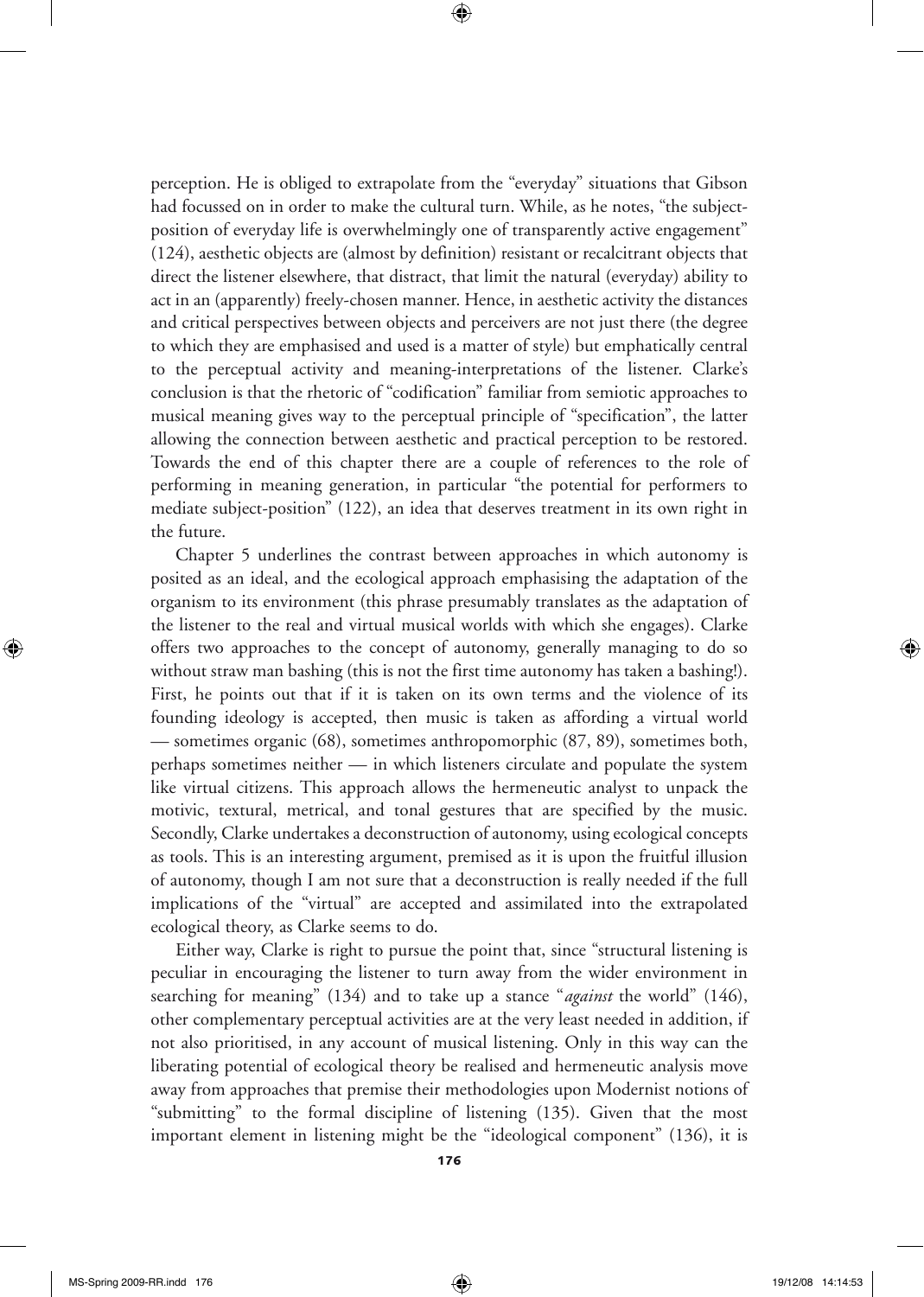perception. He is obliged to extrapolate from the "everyday" situations that Gibson had focussed on in order to make the cultural turn. While, as he notes, "the subjectposition of everyday life is overwhelmingly one of transparently active engagement" (124), aesthetic objects are (almost by definition) resistant or recalcitrant objects that direct the listener elsewhere, that distract, that limit the natural (everyday) ability to act in an (apparently) freely-chosen manner. Hence, in aesthetic activity the distances and critical perspectives between objects and perceivers are not just there (the degree to which they are emphasised and used is a matter of style) but emphatically central to the perceptual activity and meaning-interpretations of the listener. Clarke's conclusion is that the rhetoric of "codification" familiar from semiotic approaches to musical meaning gives way to the perceptual principle of "specification", the latter allowing the connection between aesthetic and practical perception to be restored. Towards the end of this chapter there are a couple of references to the role of performing in meaning generation, in particular "the potential for performers to mediate subject-position" (122), an idea that deserves treatment in its own right in the future.

Chapter 5 underlines the contrast between approaches in which autonomy is posited as an ideal, and the ecological approach emphasising the adaptation of the organism to its environment (this phrase presumably translates as the adaptation of the listener to the real and virtual musical worlds with which she engages). Clarke offers two approaches to the concept of autonomy, generally managing to do so without straw man bashing (this is not the first time autonomy has taken a bashing!). First, he points out that if it is taken on its own terms and the violence of its founding ideology is accepted, then music is taken as affording a virtual world — sometimes organic (68), sometimes anthropomorphic (87, 89), sometimes both, perhaps sometimes neither — in which listeners circulate and populate the system like virtual citizens. This approach allows the hermeneutic analyst to unpack the motivic, textural, metrical, and tonal gestures that are specified by the music. Secondly, Clarke undertakes a deconstruction of autonomy, using ecological concepts as tools. This is an interesting argument, premised as it is upon the fruitful illusion of autonomy, though I am not sure that a deconstruction is really needed if the full implications of the "virtual" are accepted and assimilated into the extrapolated ecological theory, as Clarke seems to do.

Either way, Clarke is right to pursue the point that, since "structural listening is peculiar in encouraging the listener to turn away from the wider environment in searching for meaning" (134) and to take up a stance "*against* the world" (146), other complementary perceptual activities are at the very least needed in addition, if not also prioritised, in any account of musical listening. Only in this way can the liberating potential of ecological theory be realised and hermeneutic analysis move away from approaches that premise their methodologies upon Modernist notions of "submitting" to the formal discipline of listening (135). Given that the most important element in listening might be the "ideological component" (136), it is

176

MS-Spring 2009-RR.indd 176 14:14:53

⊕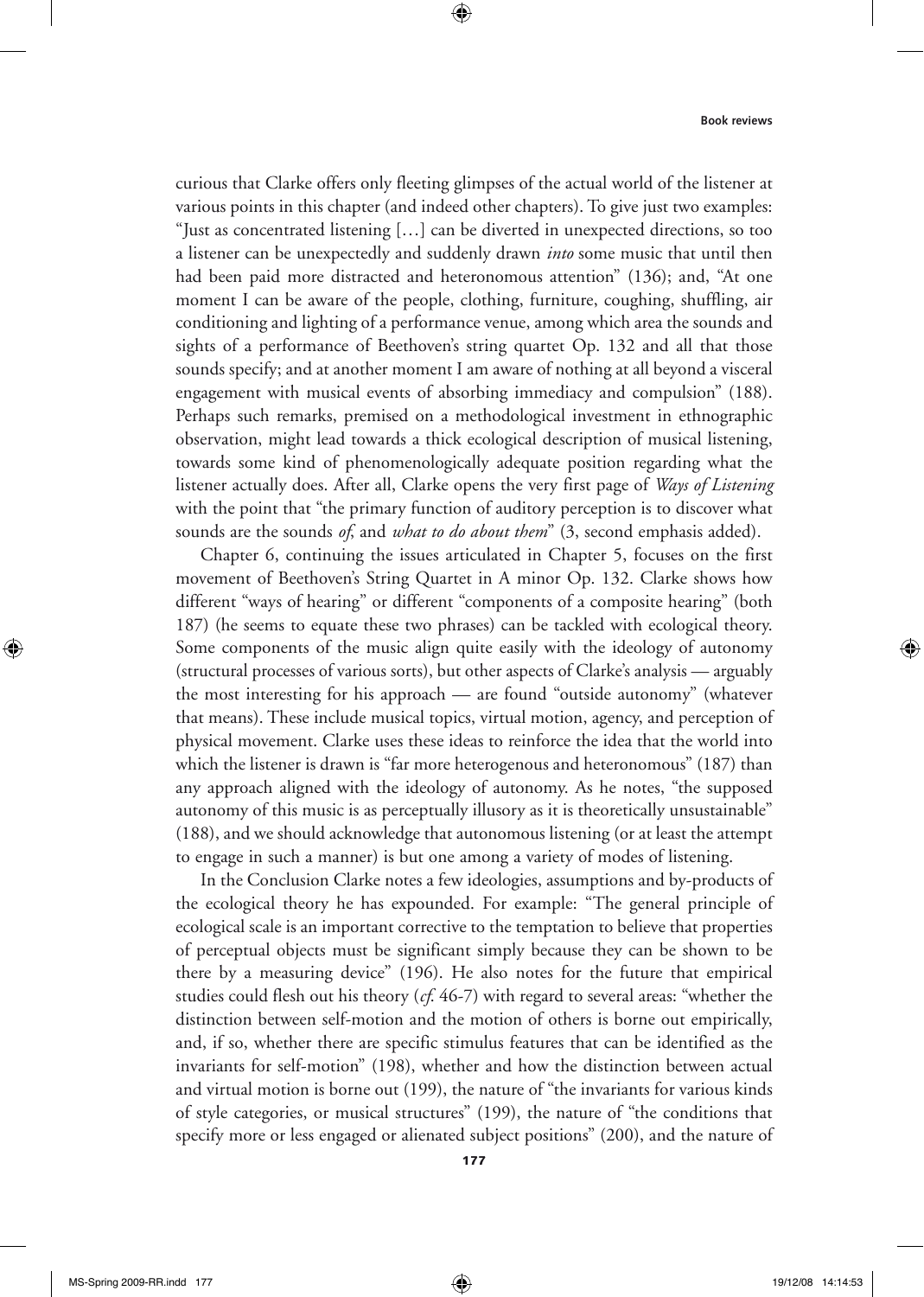curious that Clarke offers only fleeting glimpses of the actual world of the listener at various points in this chapter (and indeed other chapters). To give just two examples: "Just as concentrated listening […] can be diverted in unexpected directions, so too a listener can be unexpectedly and suddenly drawn *into* some music that until then had been paid more distracted and heteronomous attention" (136); and, "At one moment I can be aware of the people, clothing, furniture, coughing, shuffling, air conditioning and lighting of a performance venue, among which area the sounds and sights of a performance of Beethoven's string quartet Op. 132 and all that those sounds specify; and at another moment I am aware of nothing at all beyond a visceral engagement with musical events of absorbing immediacy and compulsion" (188). Perhaps such remarks, premised on a methodological investment in ethnographic observation, might lead towards a thick ecological description of musical listening, towards some kind of phenomenologically adequate position regarding what the listener actually does. After all, Clarke opens the very first page of *Ways of Listening* with the point that "the primary function of auditory perception is to discover what sounds are the sounds *of*, and *what to do about them*" (3, second emphasis added).

⊕

Chapter 6, continuing the issues articulated in Chapter 5, focuses on the first movement of Beethoven's String Quartet in A minor Op. 132. Clarke shows how different "ways of hearing" or different "components of a composite hearing" (both 187) (he seems to equate these two phrases) can be tackled with ecological theory. Some components of the music align quite easily with the ideology of autonomy (structural processes of various sorts), but other aspects of Clarke's analysis — arguably the most interesting for his approach — are found "outside autonomy" (whatever that means). These include musical topics, virtual motion, agency, and perception of physical movement. Clarke uses these ideas to reinforce the idea that the world into which the listener is drawn is "far more heterogenous and heteronomous" (187) than any approach aligned with the ideology of autonomy. As he notes, "the supposed autonomy of this music is as perceptually illusory as it is theoretically unsustainable" (188), and we should acknowledge that autonomous listening (or at least the attempt to engage in such a manner) is but one among a variety of modes of listening.

In the Conclusion Clarke notes a few ideologies, assumptions and by-products of the ecological theory he has expounded. For example: "The general principle of ecological scale is an important corrective to the temptation to believe that properties of perceptual objects must be significant simply because they can be shown to be there by a measuring device" (196). He also notes for the future that empirical studies could flesh out his theory (*cf*. 46-7) with regard to several areas: "whether the distinction between self-motion and the motion of others is borne out empirically, and, if so, whether there are specific stimulus features that can be identified as the invariants for self-motion" (198), whether and how the distinction between actual and virtual motion is borne out (199), the nature of "the invariants for various kinds of style categories, or musical structures" (199), the nature of "the conditions that specify more or less engaged or alienated subject positions" (200), and the nature of

177

MS-Spring 2009-RR.indd 177 19/12/08 14:14:53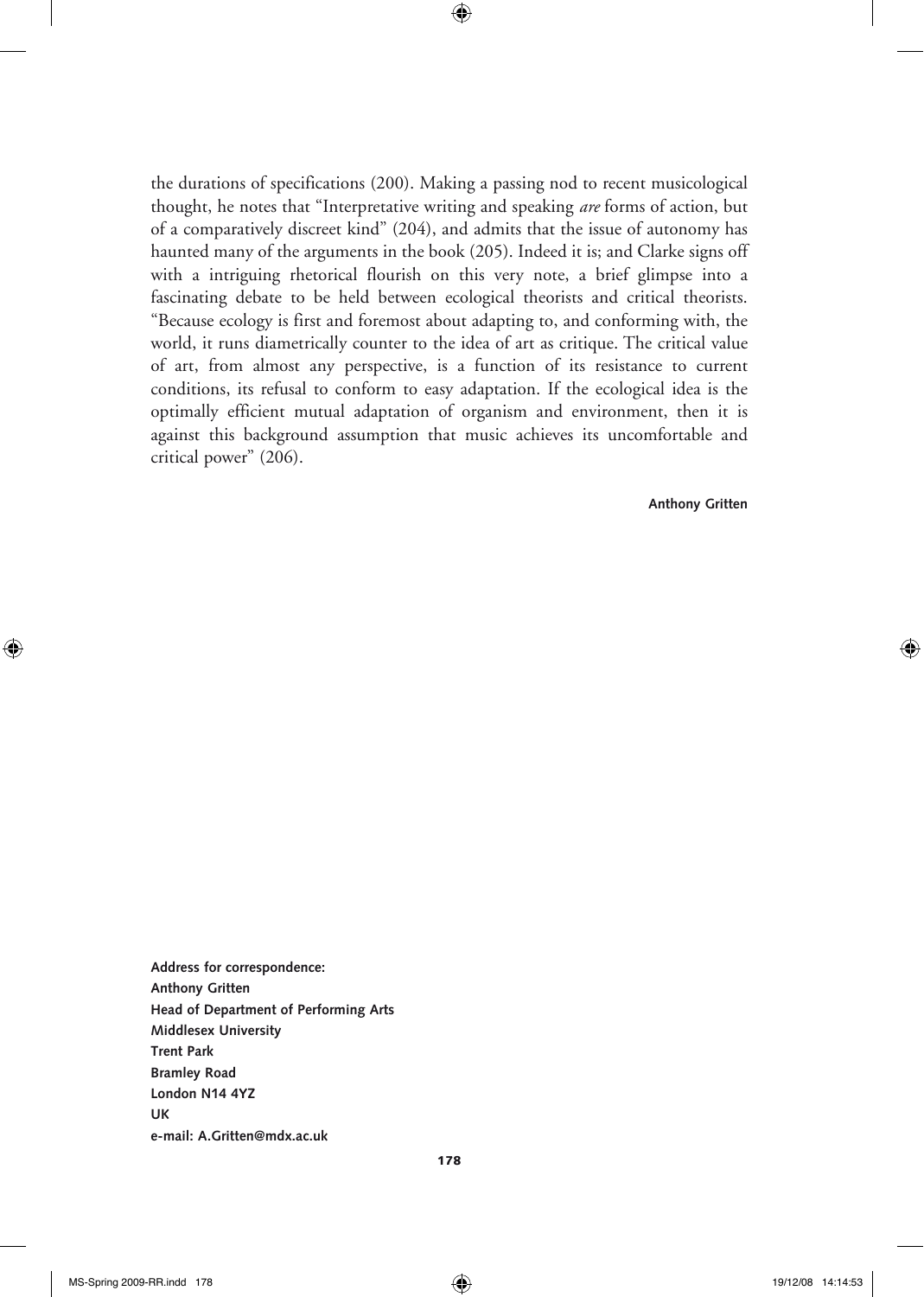the durations of specifications (200). Making a passing nod to recent musicological thought, he notes that "Interpretative writing and speaking *are* forms of action, but of a comparatively discreet kind" (204), and admits that the issue of autonomy has haunted many of the arguments in the book (205). Indeed it is; and Clarke signs off with a intriguing rhetorical flourish on this very note, a brief glimpse into a fascinating debate to be held between ecological theorists and critical theorists. "Because ecology is first and foremost about adapting to, and conforming with, the world, it runs diametrically counter to the idea of art as critique. The critical value of art, from almost any perspective, is a function of its resistance to current conditions, its refusal to conform to easy adaptation. If the ecological idea is the optimally efficient mutual adaptation of organism and environment, then it is against this background assumption that music achieves its uncomfortable and critical power" (206).

**Anthony Gritten**

**Address for correspondence: Anthony Gritten Head of Department of Performing Arts Middlesex University Trent Park Bramley Road London N14 4YZ UK e-mail: A.Gritten@mdx.ac.uk**

MS-Spring 2009-RR.indd 178 19/12/08 14:14:53

⊕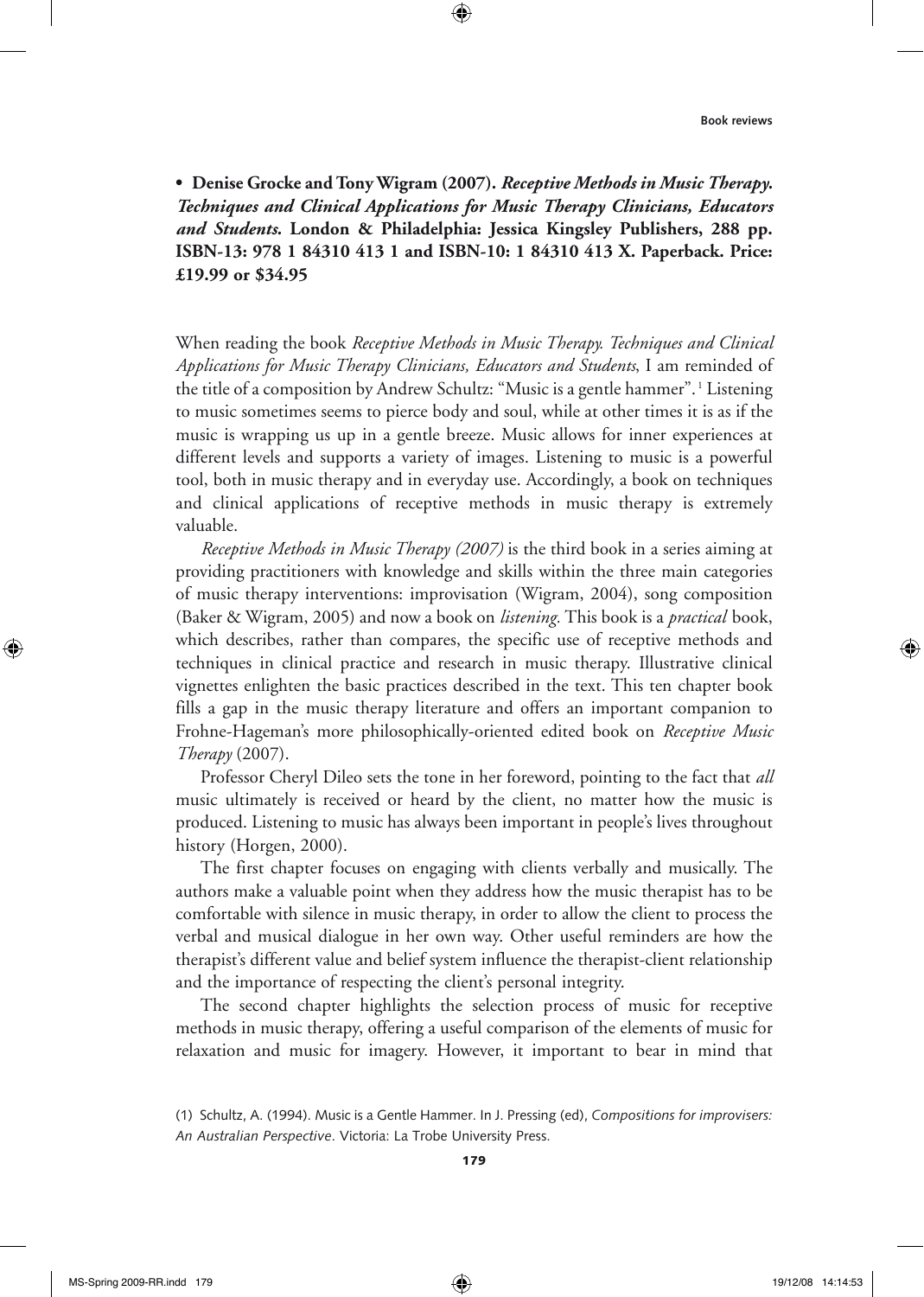**• Denise Grocke and Tony Wigram (2007).** *Receptive Methods in Music Therapy. Techniques and Clinical Applications for Music Therapy Clinicians, Educators and Students.* **London & Philadelphia: Jessica Kingsley Publishers, 288 pp. ISBN-13: 978 1 84310 413 1 and ISBN-10: 1 84310 413 X. Paperback. Price: £19.99 or \$34.95**

⊕

When reading the book *Receptive Methods in Music Therapy. Techniques and Clinical Applications for Music Therapy Clinicians, Educators and Students*, I am reminded of the title of a composition by Andrew Schultz: "Music is a gentle hammer". 1 Listening to music sometimes seems to pierce body and soul, while at other times it is as if the music is wrapping us up in a gentle breeze. Music allows for inner experiences at different levels and supports a variety of images. Listening to music is a powerful tool, both in music therapy and in everyday use. Accordingly, a book on techniques and clinical applications of receptive methods in music therapy is extremely valuable.

*Receptive Methods in Music Therapy (2007)* is the third book in a series aiming at providing practitioners with knowledge and skills within the three main categories of music therapy interventions: improvisation (Wigram, 2004), song composition (Baker & Wigram, 2005) and now a book on *listening.* This book is a *practical* book, which describes, rather than compares, the specific use of receptive methods and techniques in clinical practice and research in music therapy. Illustrative clinical vignettes enlighten the basic practices described in the text. This ten chapter book fills a gap in the music therapy literature and offers an important companion to Frohne-Hageman's more philosophically-oriented edited book on *Receptive Music Therapy* (2007).

Professor Cheryl Dileo sets the tone in her foreword, pointing to the fact that *all* music ultimately is received or heard by the client, no matter how the music is produced. Listening to music has always been important in people's lives throughout history (Horgen, 2000).

The first chapter focuses on engaging with clients verbally and musically. The authors make a valuable point when they address how the music therapist has to be comfortable with silence in music therapy, in order to allow the client to process the verbal and musical dialogue in her own way. Other useful reminders are how the therapist's different value and belief system influence the therapist-client relationship and the importance of respecting the client's personal integrity.

The second chapter highlights the selection process of music for receptive methods in music therapy, offering a useful comparison of the elements of music for relaxation and music for imagery. However, it important to bear in mind that

⊕

<sup>(1)</sup> Schultz, A. (1994). Music is a Gentle Hammer. In J. Pressing (ed), *Compositions for improvisers: An Australian Perspective*. Victoria: La Trobe University Press.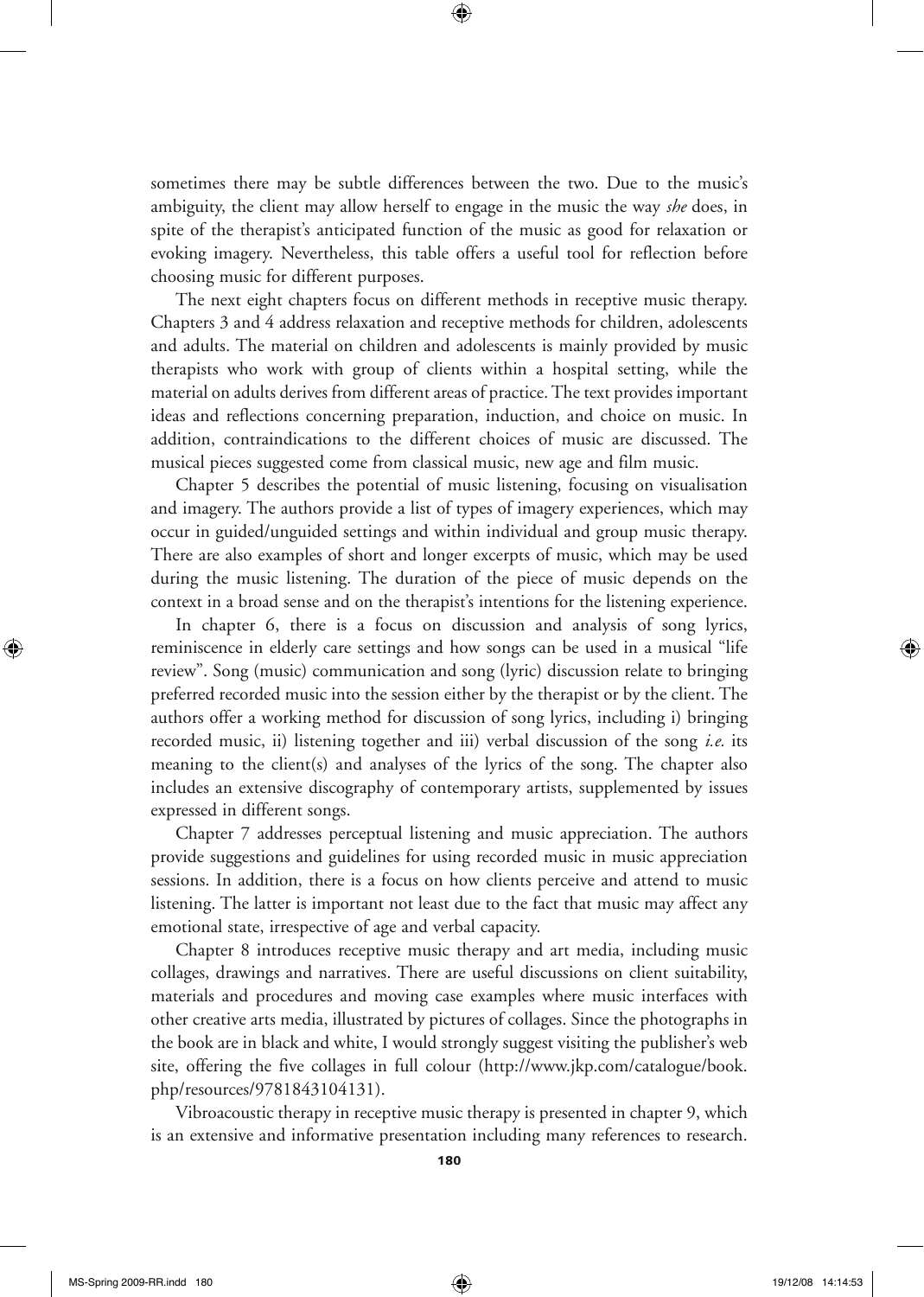sometimes there may be subtle differences between the two. Due to the music's ambiguity, the client may allow herself to engage in the music the way *she* does, in spite of the therapist's anticipated function of the music as good for relaxation or evoking imagery. Nevertheless, this table offers a useful tool for reflection before choosing music for different purposes.

The next eight chapters focus on different methods in receptive music therapy. Chapters 3 and 4 address relaxation and receptive methods for children, adolescents and adults. The material on children and adolescents is mainly provided by music therapists who work with group of clients within a hospital setting, while the material on adults derives from different areas of practice. The text provides important ideas and reflections concerning preparation, induction, and choice on music. In addition, contraindications to the different choices of music are discussed. The musical pieces suggested come from classical music, new age and film music.

Chapter 5 describes the potential of music listening, focusing on visualisation and imagery. The authors provide a list of types of imagery experiences, which may occur in guided/unguided settings and within individual and group music therapy. There are also examples of short and longer excerpts of music, which may be used during the music listening. The duration of the piece of music depends on the context in a broad sense and on the therapist's intentions for the listening experience.

In chapter 6, there is a focus on discussion and analysis of song lyrics, reminiscence in elderly care settings and how songs can be used in a musical "life review". Song (music) communication and song (lyric) discussion relate to bringing preferred recorded music into the session either by the therapist or by the client. The authors offer a working method for discussion of song lyrics, including i) bringing recorded music, ii) listening together and iii) verbal discussion of the song *i.e.* its meaning to the client(s) and analyses of the lyrics of the song. The chapter also includes an extensive discography of contemporary artists, supplemented by issues expressed in different songs.

Chapter 7 addresses perceptual listening and music appreciation. The authors provide suggestions and guidelines for using recorded music in music appreciation sessions. In addition, there is a focus on how clients perceive and attend to music listening. The latter is important not least due to the fact that music may affect any emotional state, irrespective of age and verbal capacity.

Chapter 8 introduces receptive music therapy and art media, including music collages, drawings and narratives. There are useful discussions on client suitability, materials and procedures and moving case examples where music interfaces with other creative arts media, illustrated by pictures of collages. Since the photographs in the book are in black and white, I would strongly suggest visiting the publisher's web site, offering the five collages in full colour (http://www.jkp.com/catalogue/book. php/resources/9781843104131).

Vibroacoustic therapy in receptive music therapy is presented in chapter 9, which is an extensive and informative presentation including many references to research.

180

MS-Spring 2009-RR.indd 180 14:14:53

⊕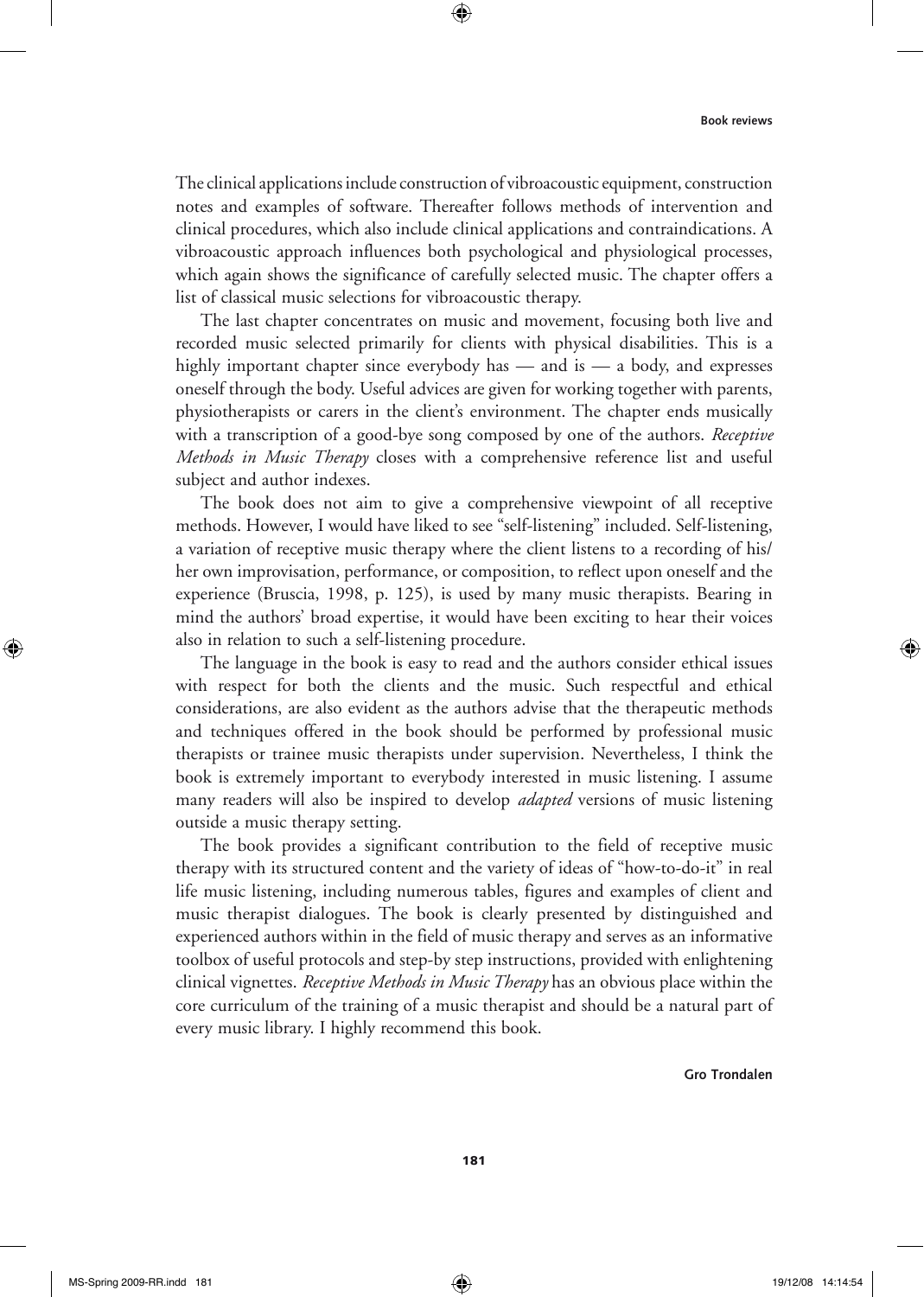The clinical applications include construction of vibroacoustic equipment, construction notes and examples of software. Thereafter follows methods of intervention and clinical procedures, which also include clinical applications and contraindications. A vibroacoustic approach influences both psychological and physiological processes, which again shows the significance of carefully selected music. The chapter offers a list of classical music selections for vibroacoustic therapy.

⊕

The last chapter concentrates on music and movement, focusing both live and recorded music selected primarily for clients with physical disabilities. This is a highly important chapter since everybody has — and is — a body, and expresses oneself through the body. Useful advices are given for working together with parents, physiotherapists or carers in the client's environment. The chapter ends musically with a transcription of a good-bye song composed by one of the authors. *Receptive Methods in Music Therapy* closes with a comprehensive reference list and useful subject and author indexes.

The book does not aim to give a comprehensive viewpoint of all receptive methods. However, I would have liked to see "self-listening" included. Self-listening, a variation of receptive music therapy where the client listens to a recording of his/ her own improvisation, performance, or composition, to reflect upon oneself and the experience (Bruscia, 1998, p. 125), is used by many music therapists. Bearing in mind the authors' broad expertise, it would have been exciting to hear their voices also in relation to such a self-listening procedure.

The language in the book is easy to read and the authors consider ethical issues with respect for both the clients and the music. Such respectful and ethical considerations, are also evident as the authors advise that the therapeutic methods and techniques offered in the book should be performed by professional music therapists or trainee music therapists under supervision. Nevertheless, I think the book is extremely important to everybody interested in music listening. I assume many readers will also be inspired to develop *adapted* versions of music listening outside a music therapy setting.

The book provides a significant contribution to the field of receptive music therapy with its structured content and the variety of ideas of "how-to-do-it" in real life music listening, including numerous tables, figures and examples of client and music therapist dialogues. The book is clearly presented by distinguished and experienced authors within in the field of music therapy and serves as an informative toolbox of useful protocols and step-by step instructions, provided with enlightening clinical vignettes. *Receptive Methods in Music Therapy* has an obvious place within the core curriculum of the training of a music therapist and should be a natural part of every music library. I highly recommend this book.

**Gro Trondalen**

⊕